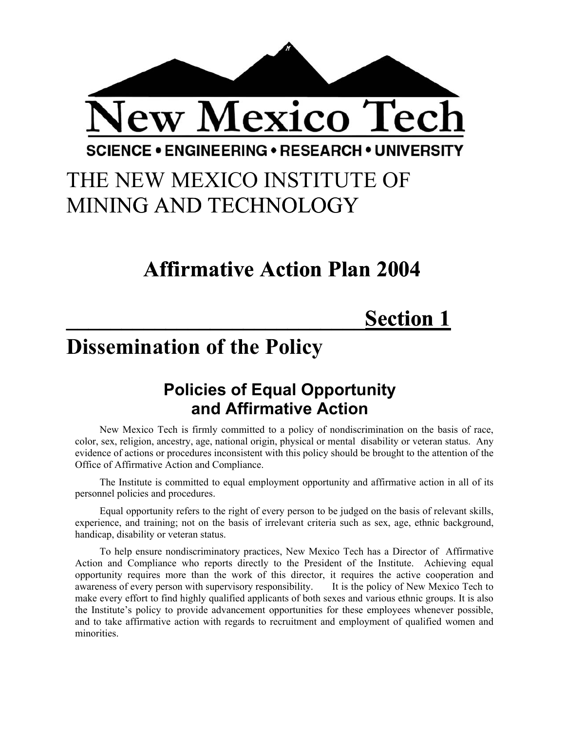

## THE NEW MEXICO INSTITUTE OF MINING AND TECHNOLOGY

### **Affirmative Action Plan 2004**

## **\_\_\_\_\_\_\_\_\_\_\_\_\_\_\_\_\_\_\_\_\_\_\_\_\_\_\_Section 1**

### **Dissemination of the Policy**

### **Policies of Equal Opportunity and Affirmative Action**

New Mexico Tech is firmly committed to a policy of nondiscrimination on the basis of race, color, sex, religion, ancestry, age, national origin, physical or mental disability or veteran status. Any evidence of actions or procedures inconsistent with this policy should be brought to the attention of the Office of Affirmative Action and Compliance.

The Institute is committed to equal employment opportunity and affirmative action in all of its personnel policies and procedures.

Equal opportunity refers to the right of every person to be judged on the basis of relevant skills, experience, and training; not on the basis of irrelevant criteria such as sex, age, ethnic background, handicap, disability or veteran status.

To help ensure nondiscriminatory practices, New Mexico Tech has a Director of Affirmative Action and Compliance who reports directly to the President of the Institute. Achieving equal opportunity requires more than the work of this director, it requires the active cooperation and awareness of every person with supervisory responsibility. It is the policy of New Mexico Tech to make every effort to find highly qualified applicants of both sexes and various ethnic groups. It is also the Institute's policy to provide advancement opportunities for these employees whenever possible, and to take affirmative action with regards to recruitment and employment of qualified women and minorities.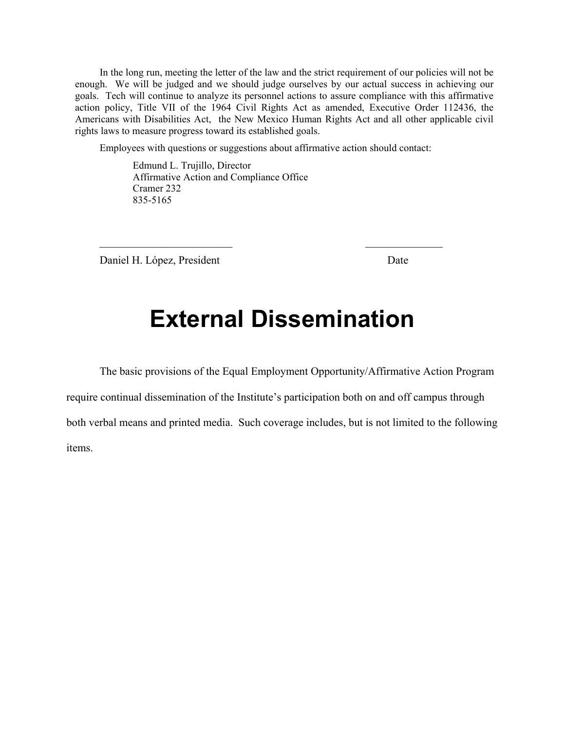In the long run, meeting the letter of the law and the strict requirement of our policies will not be enough. We will be judged and we should judge ourselves by our actual success in achieving our goals. Tech will continue to analyze its personnel actions to assure compliance with this affirmative action policy, Title VII of the 1964 Civil Rights Act as amended, Executive Order 112436, the Americans with Disabilities Act, the New Mexico Human Rights Act and all other applicable civil rights laws to measure progress toward its established goals.

Employees with questions or suggestions about affirmative action should contact:

 $\mathcal{L}_\text{max}$  and  $\mathcal{L}_\text{max}$  and  $\mathcal{L}_\text{max}$  and  $\mathcal{L}_\text{max}$ 

 Edmund L. Trujillo, Director Affirmative Action and Compliance Office Cramer 232 835-5165

Daniel H. López, President Date

### **External Dissemination**

The basic provisions of the Equal Employment Opportunity/Affirmative Action Program require continual dissemination of the Institute's participation both on and off campus through both verbal means and printed media. Such coverage includes, but is not limited to the following items.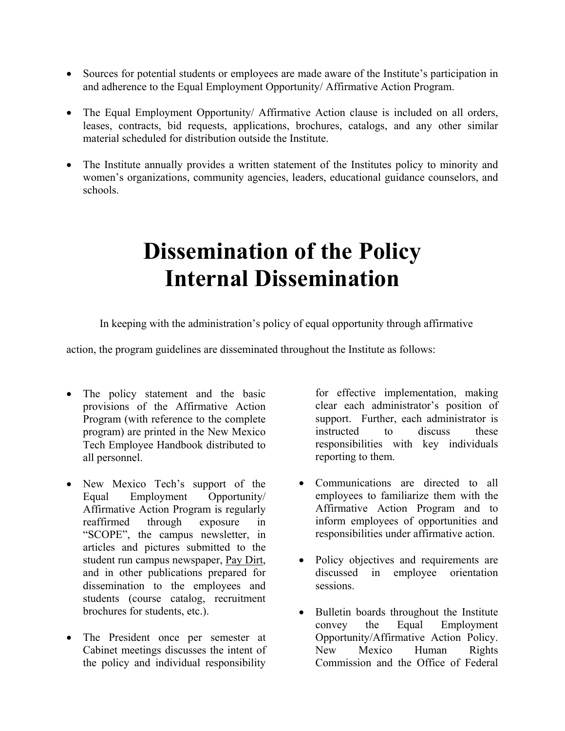- Sources for potential students or employees are made aware of the Institute's participation in and adherence to the Equal Employment Opportunity/ Affirmative Action Program.
- The Equal Employment Opportunity/ Affirmative Action clause is included on all orders, leases, contracts, bid requests, applications, brochures, catalogs, and any other similar material scheduled for distribution outside the Institute.
- The Institute annually provides a written statement of the Institutes policy to minority and women's organizations, community agencies, leaders, educational guidance counselors, and schools.

## **Dissemination of the Policy Internal Dissemination**

In keeping with the administration's policy of equal opportunity through affirmative

action, the program guidelines are disseminated throughout the Institute as follows:

- The policy statement and the basic provisions of the Affirmative Action Program (with reference to the complete program) are printed in the New Mexico Tech Employee Handbook distributed to all personnel.
- New Mexico Tech's support of the Equal Employment Opportunity/ Affirmative Action Program is regularly reaffirmed through exposure in "SCOPE", the campus newsletter, in articles and pictures submitted to the student run campus newspaper, Pay Dirt, and in other publications prepared for dissemination to the employees and students (course catalog, recruitment brochures for students, etc.).
- The President once per semester at Cabinet meetings discusses the intent of the policy and individual responsibility

for effective implementation, making clear each administrator's position of support. Further, each administrator is instructed to discuss these responsibilities with key individuals reporting to them.

- Communications are directed to all employees to familiarize them with the Affirmative Action Program and to inform employees of opportunities and responsibilities under affirmative action.
- Policy objectives and requirements are discussed in employee orientation sessions.
- Bulletin boards throughout the Institute convey the Equal Employment Opportunity/Affirmative Action Policy. New Mexico Human Rights Commission and the Office of Federal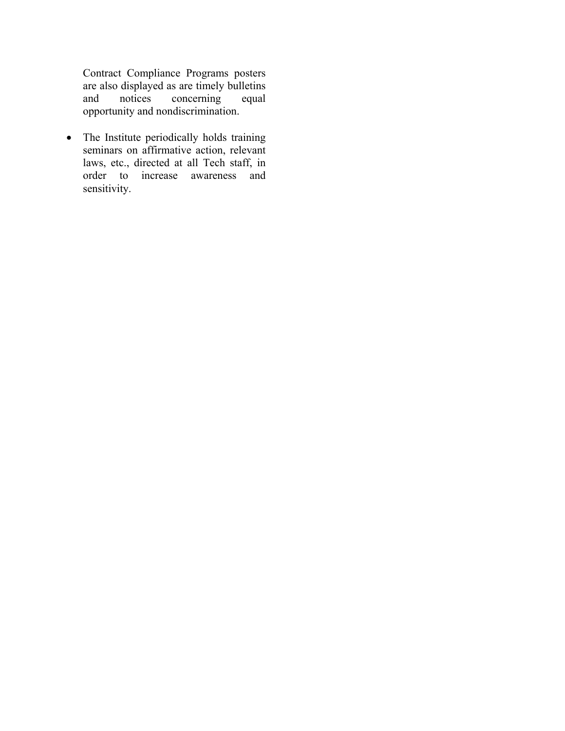Contract Compliance Programs posters are also displayed as are timely bulletins<br>and notices concerning equal and notices concerning opportunity and nondiscrimination.

• The Institute periodically holds training seminars on affirmative action, relevant laws, etc., directed at all Tech staff, in order to increase awareness and sensitivity.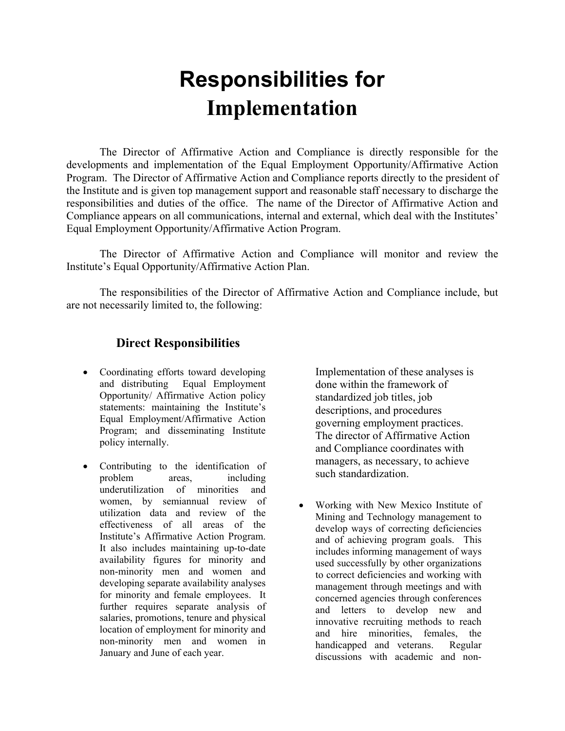## **Responsibilities for Implementation**

The Director of Affirmative Action and Compliance is directly responsible for the developments and implementation of the Equal Employment Opportunity/Affirmative Action Program. The Director of Affirmative Action and Compliance reports directly to the president of the Institute and is given top management support and reasonable staff necessary to discharge the responsibilities and duties of the office. The name of the Director of Affirmative Action and Compliance appears on all communications, internal and external, which deal with the Institutes' Equal Employment Opportunity/Affirmative Action Program.

The Director of Affirmative Action and Compliance will monitor and review the Institute's Equal Opportunity/Affirmative Action Plan.

The responsibilities of the Director of Affirmative Action and Compliance include, but are not necessarily limited to, the following:

#### **Direct Responsibilities**

- Coordinating efforts toward developing and distributing Equal Employment Opportunity/ Affirmative Action policy statements: maintaining the Institute's Equal Employment/Affirmative Action Program; and disseminating Institute policy internally.
- Contributing to the identification of problem areas, including underutilization of minorities and women, by semiannual review of utilization data and review of the effectiveness of all areas of the Institute's Affirmative Action Program. It also includes maintaining up-to-date availability figures for minority and non-minority men and women and developing separate availability analyses for minority and female employees. It further requires separate analysis of salaries, promotions, tenure and physical location of employment for minority and non-minority men and women in January and June of each year.

Implementation of these analyses is done within the framework of standardized job titles, job descriptions, and procedures governing employment practices. The director of Affirmative Action and Compliance coordinates with managers, as necessary, to achieve such standardization.

• Working with New Mexico Institute of Mining and Technology management to develop ways of correcting deficiencies and of achieving program goals. This includes informing management of ways used successfully by other organizations to correct deficiencies and working with management through meetings and with concerned agencies through conferences and letters to develop new and innovative recruiting methods to reach and hire minorities, females, the handicapped and veterans. Regular discussions with academic and non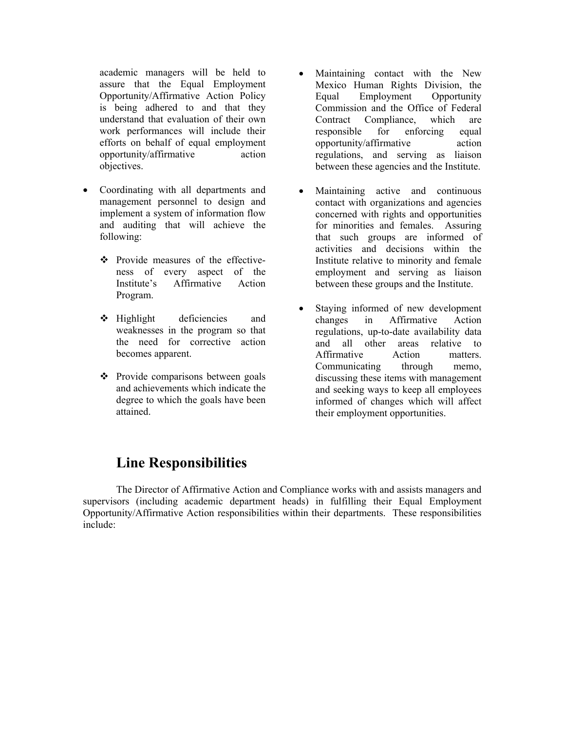academic managers will be held to assure that the Equal Employment Opportunity/Affirmative Action Policy is being adhered to and that they understand that evaluation of their own work performances will include their efforts on behalf of equal employment opportunity/affirmative action objectives.

- Coordinating with all departments and management personnel to design and implement a system of information flow and auditing that will achieve the following:
	- Provide measures of the effectiveness of every aspect of the Institute's Affirmative Action Program.
	- $\div$  Highlight deficiencies and weaknesses in the program so that the need for corrective action becomes apparent.
	- $\triangle$  Provide comparisons between goals and achievements which indicate the degree to which the goals have been attained.
- Maintaining contact with the New Mexico Human Rights Division, the Equal Employment Opportunity Commission and the Office of Federal Contract Compliance, which are responsible for enforcing equal opportunity/affirmative action regulations, and serving as liaison between these agencies and the Institute.
- Maintaining active and continuous contact with organizations and agencies concerned with rights and opportunities for minorities and females. Assuring that such groups are informed of activities and decisions within the Institute relative to minority and female employment and serving as liaison between these groups and the Institute.
- Staying informed of new development changes in Affirmative Action regulations, up-to-date availability data and all other areas relative to Affirmative Action matters. Communicating through memo, discussing these items with management and seeking ways to keep all employees informed of changes which will affect their employment opportunities.

### **Line Responsibilities**

The Director of Affirmative Action and Compliance works with and assists managers and supervisors (including academic department heads) in fulfilling their Equal Employment Opportunity/Affirmative Action responsibilities within their departments. These responsibilities include: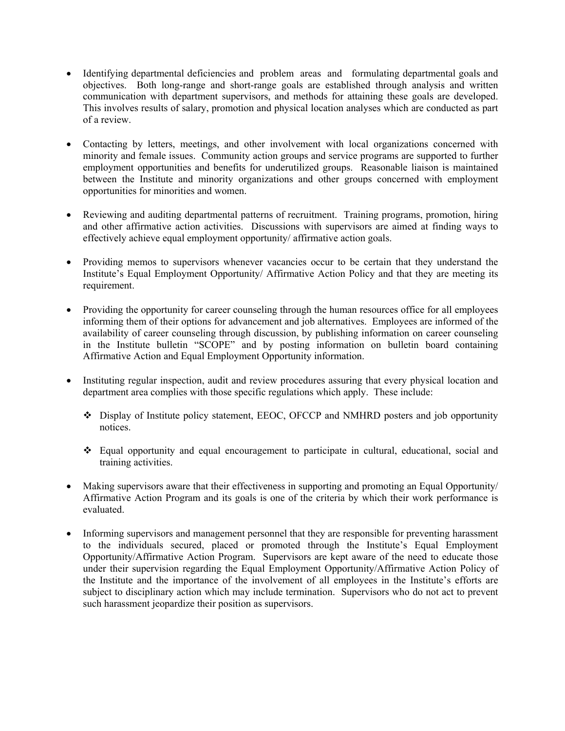- Identifying departmental deficiencies and problem areas and formulating departmental goals and objectives. Both long-range and short-range goals are established through analysis and written communication with department supervisors, and methods for attaining these goals are developed. This involves results of salary, promotion and physical location analyses which are conducted as part of a review.
- Contacting by letters, meetings, and other involvement with local organizations concerned with minority and female issues. Community action groups and service programs are supported to further employment opportunities and benefits for underutilized groups. Reasonable liaison is maintained between the Institute and minority organizations and other groups concerned with employment opportunities for minorities and women.
- Reviewing and auditing departmental patterns of recruitment. Training programs, promotion, hiring and other affirmative action activities. Discussions with supervisors are aimed at finding ways to effectively achieve equal employment opportunity/ affirmative action goals.
- Providing memos to supervisors whenever vacancies occur to be certain that they understand the Institute's Equal Employment Opportunity/ Affirmative Action Policy and that they are meeting its requirement.
- Providing the opportunity for career counseling through the human resources office for all employees informing them of their options for advancement and job alternatives. Employees are informed of the availability of career counseling through discussion, by publishing information on career counseling in the Institute bulletin "SCOPE" and by posting information on bulletin board containing Affirmative Action and Equal Employment Opportunity information.
- Instituting regular inspection, audit and review procedures assuring that every physical location and department area complies with those specific regulations which apply. These include:
	- Display of Institute policy statement, EEOC, OFCCP and NMHRD posters and job opportunity notices.
	- Equal opportunity and equal encouragement to participate in cultural, educational, social and training activities.
- Making supervisors aware that their effectiveness in supporting and promoting an Equal Opportunity/ Affirmative Action Program and its goals is one of the criteria by which their work performance is evaluated.
- Informing supervisors and management personnel that they are responsible for preventing harassment to the individuals secured, placed or promoted through the Institute's Equal Employment Opportunity/Affirmative Action Program. Supervisors are kept aware of the need to educate those under their supervision regarding the Equal Employment Opportunity/Affirmative Action Policy of the Institute and the importance of the involvement of all employees in the Institute's efforts are subject to disciplinary action which may include termination. Supervisors who do not act to prevent such harassment jeopardize their position as supervisors.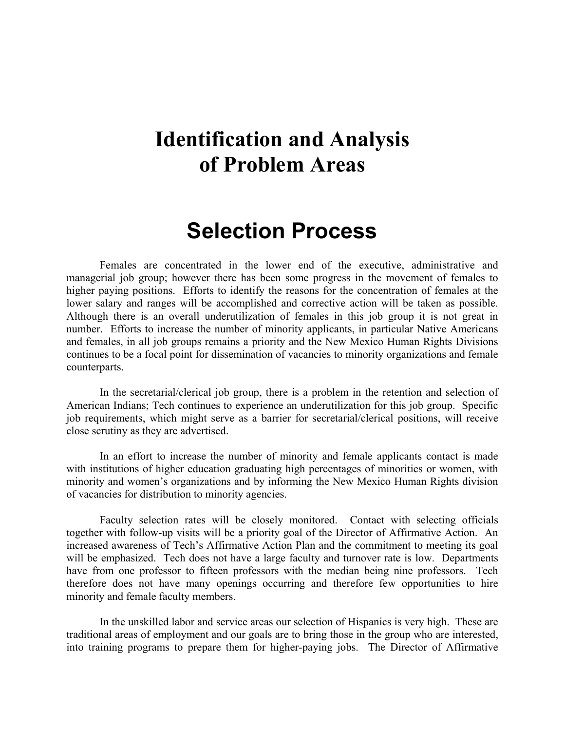### **Identification and Analysis of Problem Areas**

### **Selection Process**

Females are concentrated in the lower end of the executive, administrative and managerial job group; however there has been some progress in the movement of females to higher paying positions. Efforts to identify the reasons for the concentration of females at the lower salary and ranges will be accomplished and corrective action will be taken as possible. Although there is an overall underutilization of females in this job group it is not great in number. Efforts to increase the number of minority applicants, in particular Native Americans and females, in all job groups remains a priority and the New Mexico Human Rights Divisions continues to be a focal point for dissemination of vacancies to minority organizations and female counterparts.

In the secretarial/clerical job group, there is a problem in the retention and selection of American Indians; Tech continues to experience an underutilization for this job group. Specific job requirements, which might serve as a barrier for secretarial/clerical positions, will receive close scrutiny as they are advertised.

In an effort to increase the number of minority and female applicants contact is made with institutions of higher education graduating high percentages of minorities or women, with minority and women's organizations and by informing the New Mexico Human Rights division of vacancies for distribution to minority agencies.

Faculty selection rates will be closely monitored. Contact with selecting officials together with follow-up visits will be a priority goal of the Director of Affirmative Action. An increased awareness of Tech's Affirmative Action Plan and the commitment to meeting its goal will be emphasized. Tech does not have a large faculty and turnover rate is low. Departments have from one professor to fifteen professors with the median being nine professors. Tech therefore does not have many openings occurring and therefore few opportunities to hire minority and female faculty members.

In the unskilled labor and service areas our selection of Hispanics is very high. These are traditional areas of employment and our goals are to bring those in the group who are interested, into training programs to prepare them for higher-paying jobs. The Director of Affirmative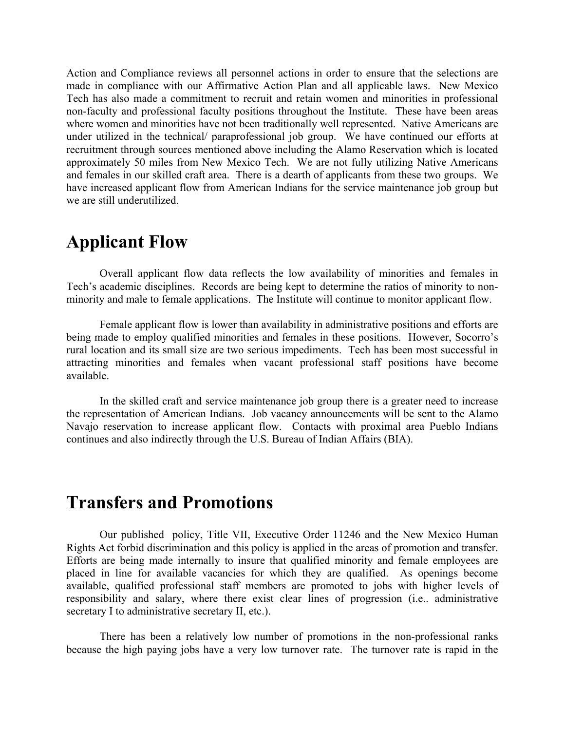Action and Compliance reviews all personnel actions in order to ensure that the selections are made in compliance with our Affirmative Action Plan and all applicable laws. New Mexico Tech has also made a commitment to recruit and retain women and minorities in professional non-faculty and professional faculty positions throughout the Institute. These have been areas where women and minorities have not been traditionally well represented. Native Americans are under utilized in the technical/ paraprofessional job group. We have continued our efforts at recruitment through sources mentioned above including the Alamo Reservation which is located approximately 50 miles from New Mexico Tech. We are not fully utilizing Native Americans and females in our skilled craft area. There is a dearth of applicants from these two groups. We have increased applicant flow from American Indians for the service maintenance job group but we are still underutilized.

### **Applicant Flow**

Overall applicant flow data reflects the low availability of minorities and females in Tech's academic disciplines. Records are being kept to determine the ratios of minority to nonminority and male to female applications. The Institute will continue to monitor applicant flow.

Female applicant flow is lower than availability in administrative positions and efforts are being made to employ qualified minorities and females in these positions. However, Socorro's rural location and its small size are two serious impediments. Tech has been most successful in attracting minorities and females when vacant professional staff positions have become available.

In the skilled craft and service maintenance job group there is a greater need to increase the representation of American Indians. Job vacancy announcements will be sent to the Alamo Navajo reservation to increase applicant flow. Contacts with proximal area Pueblo Indians continues and also indirectly through the U.S. Bureau of Indian Affairs (BIA).

### **Transfers and Promotions**

Our published policy, Title VII, Executive Order 11246 and the New Mexico Human Rights Act forbid discrimination and this policy is applied in the areas of promotion and transfer. Efforts are being made internally to insure that qualified minority and female employees are placed in line for available vacancies for which they are qualified. As openings become available, qualified professional staff members are promoted to jobs with higher levels of responsibility and salary, where there exist clear lines of progression (i.e.. administrative secretary I to administrative secretary II, etc.).

There has been a relatively low number of promotions in the non-professional ranks because the high paying jobs have a very low turnover rate. The turnover rate is rapid in the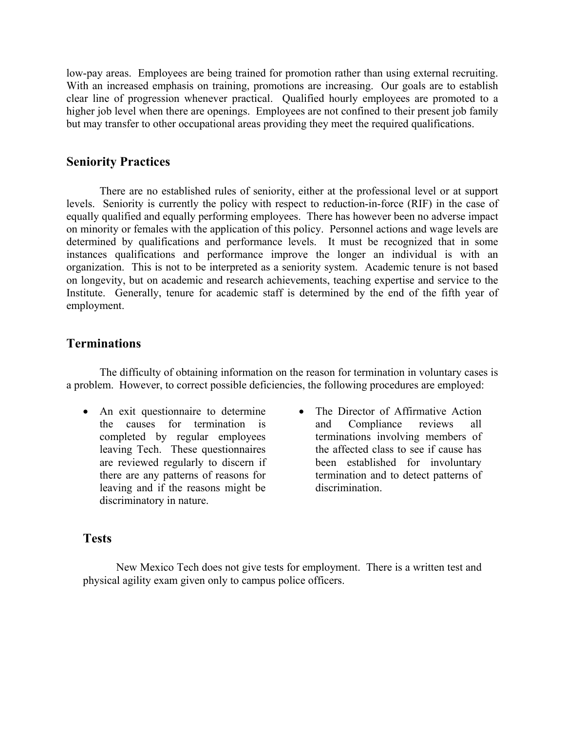low-pay areas. Employees are being trained for promotion rather than using external recruiting. With an increased emphasis on training, promotions are increasing. Our goals are to establish clear line of progression whenever practical. Qualified hourly employees are promoted to a higher job level when there are openings. Employees are not confined to their present job family but may transfer to other occupational areas providing they meet the required qualifications.

#### **Seniority Practices**

There are no established rules of seniority, either at the professional level or at support levels. Seniority is currently the policy with respect to reduction-in-force (RIF) in the case of equally qualified and equally performing employees. There has however been no adverse impact on minority or females with the application of this policy. Personnel actions and wage levels are determined by qualifications and performance levels. It must be recognized that in some instances qualifications and performance improve the longer an individual is with an organization. This is not to be interpreted as a seniority system. Academic tenure is not based on longevity, but on academic and research achievements, teaching expertise and service to the Institute. Generally, tenure for academic staff is determined by the end of the fifth year of employment.

#### **Terminations**

The difficulty of obtaining information on the reason for termination in voluntary cases is a problem. However, to correct possible deficiencies, the following procedures are employed:

- An exit questionnaire to determine the causes for termination is completed by regular employees leaving Tech. These questionnaires are reviewed regularly to discern if there are any patterns of reasons for leaving and if the reasons might be discriminatory in nature.
- The Director of Affirmative Action and Compliance reviews all terminations involving members of the affected class to see if cause has been established for involuntary termination and to detect patterns of discrimination.

#### **Tests**

New Mexico Tech does not give tests for employment. There is a written test and physical agility exam given only to campus police officers.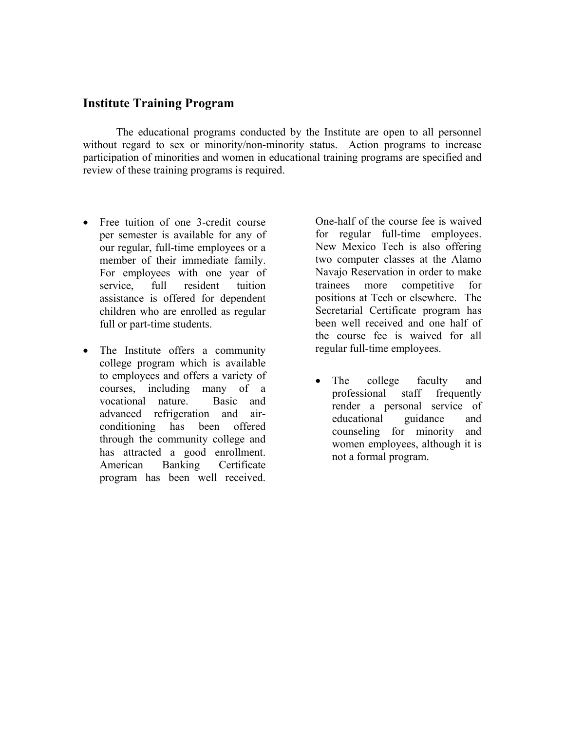#### **Institute Training Program**

The educational programs conducted by the Institute are open to all personnel without regard to sex or minority/non-minority status. Action programs to increase participation of minorities and women in educational training programs are specified and review of these training programs is required.

- Free tuition of one 3-credit course per semester is available for any of our regular, full-time employees or a member of their immediate family. For employees with one year of service, full resident tuition assistance is offered for dependent children who are enrolled as regular full or part-time students.
- The Institute offers a community college program which is available to employees and offers a variety of courses, including many of a vocational nature. Basic and advanced refrigeration and airconditioning has been offered through the community college and has attracted a good enrollment. American Banking Certificate program has been well received.

One-half of the course fee is waived for regular full-time employees. New Mexico Tech is also offering two computer classes at the Alamo Navajo Reservation in order to make trainees more competitive for positions at Tech or elsewhere. The Secretarial Certificate program has been well received and one half of the course fee is waived for all regular full-time employees.

• The college faculty and professional staff frequently render a personal service of educational guidance and counseling for minority and women employees, although it is not a formal program.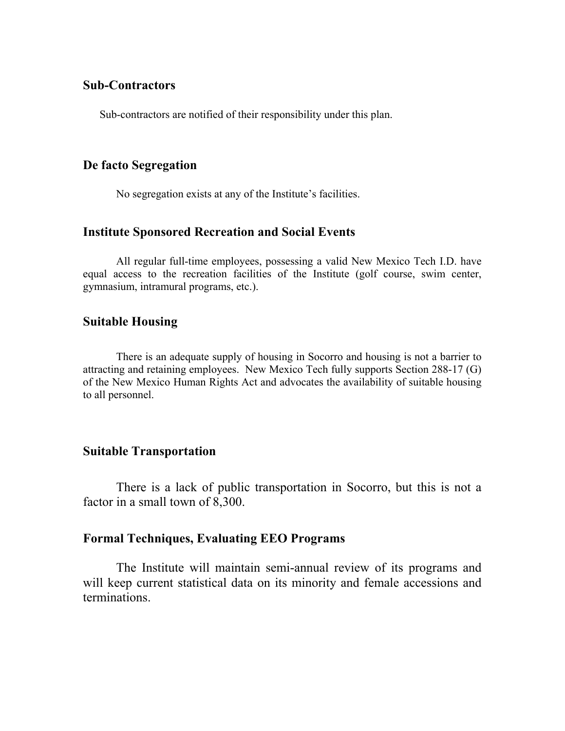#### **Sub-Contractors**

Sub-contractors are notified of their responsibility under this plan.

#### **De facto Segregation**

No segregation exists at any of the Institute's facilities.

#### **Institute Sponsored Recreation and Social Events**

All regular full-time employees, possessing a valid New Mexico Tech I.D. have equal access to the recreation facilities of the Institute (golf course, swim center, gymnasium, intramural programs, etc.).

#### **Suitable Housing**

There is an adequate supply of housing in Socorro and housing is not a barrier to attracting and retaining employees. New Mexico Tech fully supports Section 288-17 (G) of the New Mexico Human Rights Act and advocates the availability of suitable housing to all personnel.

#### **Suitable Transportation**

There is a lack of public transportation in Socorro, but this is not a factor in a small town of 8,300.

#### **Formal Techniques, Evaluating EEO Programs**

The Institute will maintain semi-annual review of its programs and will keep current statistical data on its minority and female accessions and terminations.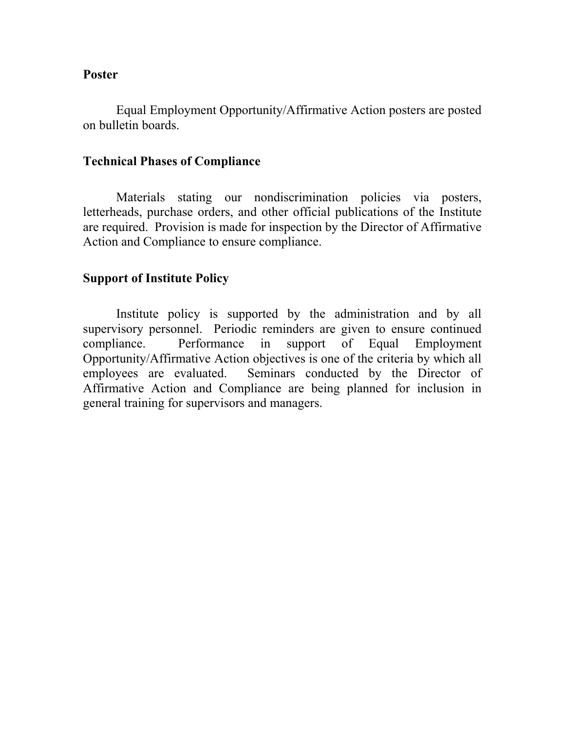#### **Poster**

Equal Employment Opportunity/Affirmative Action posters are posted on bulletin boards.

#### **Technical Phases of Compliance**

Materials stating our nondiscrimination policies via posters, letterheads, purchase orders, and other official publications of the Institute are required. Provision is made for inspection by the Director of Affirmative Action and Compliance to ensure compliance.

#### **Support of Institute Policy**

Institute policy is supported by the administration and by all supervisory personnel. Periodic reminders are given to ensure continued compliance. Performance in support of Equal Employment Opportunity/Affirmative Action objectives is one of the criteria by which all employees are evaluated. Seminars conducted by the Director of Affirmative Action and Compliance are being planned for inclusion in general training for supervisors and managers.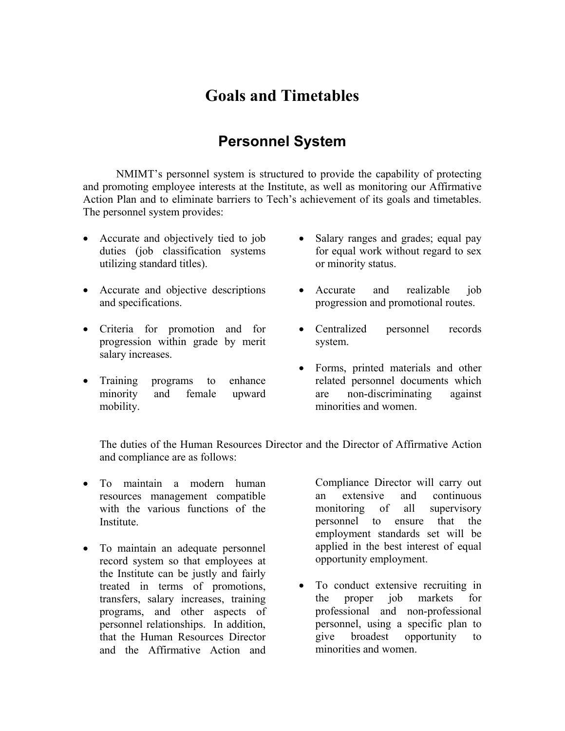### **Goals and Timetables**

### **Personnel System**

NMIMT's personnel system is structured to provide the capability of protecting and promoting employee interests at the Institute, as well as monitoring our Affirmative Action Plan and to eliminate barriers to Tech's achievement of its goals and timetables. The personnel system provides:

- Accurate and objectively tied to job duties (job classification systems utilizing standard titles).
- Accurate and objective descriptions and specifications.
- Criteria for promotion and for progression within grade by merit salary increases.
- Training programs to enhance minority and female upward mobility.
- Salary ranges and grades; equal pay for equal work without regard to sex or minority status.
- Accurate and realizable job progression and promotional routes.
- Centralized personnel records system.
- Forms, printed materials and other related personnel documents which are non-discriminating against minorities and women.

The duties of the Human Resources Director and the Director of Affirmative Action and compliance are as follows:

- To maintain a modern human resources management compatible with the various functions of the **Institute**
- To maintain an adequate personnel record system so that employees at the Institute can be justly and fairly treated in terms of promotions, transfers, salary increases, training programs, and other aspects of personnel relationships. In addition, that the Human Resources Director and the Affirmative Action and

Compliance Director will carry out an extensive and continuous monitoring of all supervisory personnel to ensure that the employment standards set will be applied in the best interest of equal opportunity employment.

• To conduct extensive recruiting in the proper job markets for professional and non-professional personnel, using a specific plan to give broadest opportunity to minorities and women.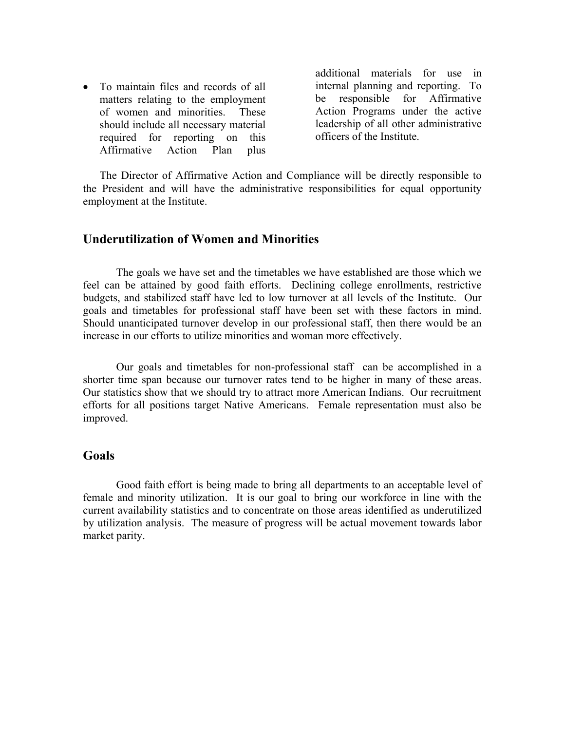• To maintain files and records of all matters relating to the employment of women and minorities. These should include all necessary material required for reporting on this Affirmative Action Plan plus

additional materials for use in internal planning and reporting. To be responsible for Affirmative Action Programs under the active leadership of all other administrative officers of the Institute.

The Director of Affirmative Action and Compliance will be directly responsible to the President and will have the administrative responsibilities for equal opportunity employment at the Institute.

#### **Underutilization of Women and Minorities**

The goals we have set and the timetables we have established are those which we feel can be attained by good faith efforts. Declining college enrollments, restrictive budgets, and stabilized staff have led to low turnover at all levels of the Institute. Our goals and timetables for professional staff have been set with these factors in mind. Should unanticipated turnover develop in our professional staff, then there would be an increase in our efforts to utilize minorities and woman more effectively.

Our goals and timetables for non-professional staff can be accomplished in a shorter time span because our turnover rates tend to be higher in many of these areas. Our statistics show that we should try to attract more American Indians. Our recruitment efforts for all positions target Native Americans. Female representation must also be improved.

#### **Goals**

Good faith effort is being made to bring all departments to an acceptable level of female and minority utilization. It is our goal to bring our workforce in line with the current availability statistics and to concentrate on those areas identified as underutilized by utilization analysis. The measure of progress will be actual movement towards labor market parity.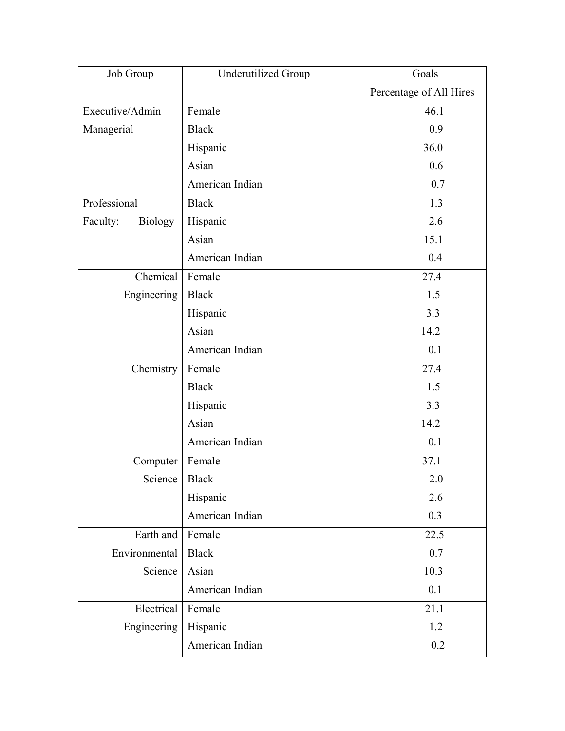| Job Group                  | <b>Underutilized Group</b> | Goals                   |  |
|----------------------------|----------------------------|-------------------------|--|
|                            |                            | Percentage of All Hires |  |
| Executive/Admin            | Female                     | 46.1                    |  |
| Managerial                 | <b>Black</b>               | 0.9                     |  |
|                            | Hispanic                   | 36.0                    |  |
|                            | Asian                      | 0.6                     |  |
|                            | American Indian            | 0.7                     |  |
| Professional               | <b>Black</b>               | 1.3                     |  |
| Faculty:<br><b>Biology</b> | Hispanic                   | 2.6                     |  |
|                            | Asian                      | 15.1                    |  |
|                            | American Indian            | 0.4                     |  |
| Chemical                   | Female                     | 27.4                    |  |
| Engineering                | <b>Black</b>               | 1.5                     |  |
|                            | Hispanic                   | 3.3                     |  |
|                            | Asian                      | 14.2                    |  |
|                            | American Indian            | 0.1                     |  |
| Chemistry                  | Female                     | 27.4                    |  |
|                            | <b>Black</b>               | 1.5                     |  |
|                            | Hispanic                   | 3.3                     |  |
|                            | Asian                      | 14.2                    |  |
|                            | American Indian            | 0.1                     |  |
| Computer                   | Female                     | 37.1                    |  |
| Science   Black            |                            | 2.0                     |  |
|                            | Hispanic                   | 2.6                     |  |
|                            | American Indian            | 0.3                     |  |
| Earth and                  | Female                     | 22.5                    |  |
| Environmental              | <b>Black</b>               | 0.7                     |  |
| Science                    | Asian                      | 10.3                    |  |
|                            | American Indian            | 0.1                     |  |
| Electrical                 | Female                     | 21.1                    |  |
| Engineering                | Hispanic                   | 1.2                     |  |
|                            | American Indian            | 0.2                     |  |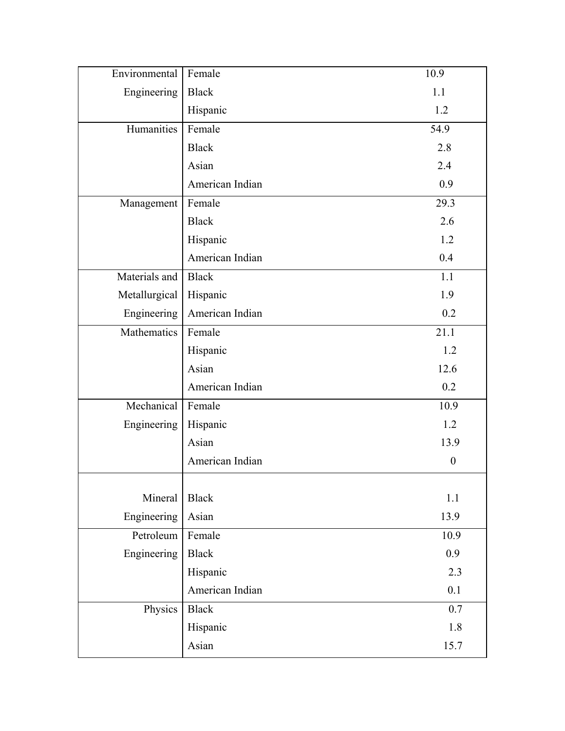| Environmental | Female          | 10.9             |
|---------------|-----------------|------------------|
| Engineering   | <b>Black</b>    | 1.1              |
|               | Hispanic        | 1.2              |
| Humanities    | Female          | 54.9             |
|               | <b>Black</b>    | 2.8              |
|               | Asian           | 2.4              |
|               | American Indian | 0.9              |
| Management    | Female          | 29.3             |
|               | <b>Black</b>    | 2.6              |
|               | Hispanic        | 1.2              |
|               | American Indian | 0.4              |
| Materials and | <b>Black</b>    | 1.1              |
| Metallurgical | Hispanic        | 1.9              |
| Engineering   | American Indian | 0.2              |
| Mathematics   | Female          | 21.1             |
|               | Hispanic        | 1.2              |
|               | Asian           | 12.6             |
|               | American Indian | 0.2              |
| Mechanical    | Female          | 10.9             |
| Engineering   | Hispanic        | 1.2              |
|               | Asian           | 13.9             |
|               | American Indian | $\boldsymbol{0}$ |
| Mineral       | <b>Black</b>    | 1.1              |
| Engineering   | Asian           | 13.9             |
| Petroleum     | Female          | 10.9             |
| Engineering   | <b>Black</b>    | 0.9              |
|               | Hispanic        | 2.3              |
|               | American Indian | 0.1              |
| Physics       | <b>Black</b>    | 0.7              |
|               | Hispanic        | 1.8              |
|               | Asian           | 15.7             |
|               |                 |                  |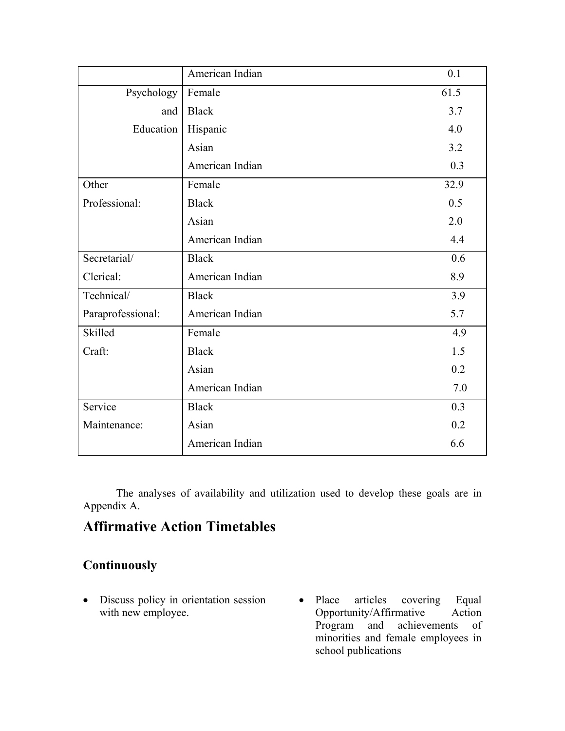|                   | American Indian | 0.1  |
|-------------------|-----------------|------|
| Psychology        | Female          | 61.5 |
| and               | <b>Black</b>    | 3.7  |
| Education         | Hispanic        | 4.0  |
|                   | Asian           | 3.2  |
|                   | American Indian | 0.3  |
| Other             | Female          | 32.9 |
| Professional:     | <b>Black</b>    | 0.5  |
|                   | Asian           | 2.0  |
|                   | American Indian | 4.4  |
| Secretarial/      | <b>Black</b>    | 0.6  |
| Clerical:         | American Indian | 8.9  |
| Technical/        | <b>Black</b>    | 3.9  |
| Paraprofessional: | American Indian | 5.7  |
| Skilled           | Female          | 4.9  |
| Craft:            | <b>Black</b>    | 1.5  |
|                   | Asian           | 0.2  |
|                   | American Indian | 7.0  |
| Service           | <b>Black</b>    | 0.3  |
| Maintenance:      | Asian           | 0.2  |
|                   | American Indian | 6.6  |

The analyses of availability and utilization used to develop these goals are in Appendix A.

### **Affirmative Action Timetables**

### **Continuously**

- Discuss policy in orientation session with new employee.
- Place articles covering Equal Opportunity/Affirmative Action and achievements of minorities and female employees in school publications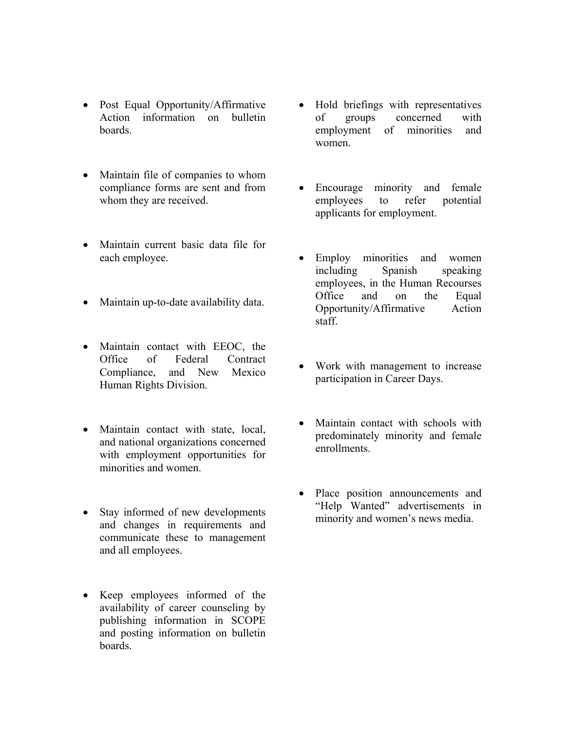- Post Equal Opportunity/Affirmative Action information on bulletin boards.
- Maintain file of companies to whom compliance forms are sent and from whom they are received.
- Maintain current basic data file for
- Maintain up-to-date availability data.
- Maintain contact with EEOC, the Office of Federal Contract Compliance, and New Mexico Human Rights Division.
- Maintain contact with state, local, and national organizations concerned with employment opportunities for minorities and women.
- Stay informed of new developments interpret wanted advertisements in the state of new developments in the minority and women's news media. and changes in requirements and communicate these to management and all employees.
- Keep employees informed of the availability of career counseling by publishing information in SCOPE and posting information on bulletin boards.
- Hold briefings with representatives of groups concerned with employment of minorities and women.
- Encourage minority and female employees to refer potential applicants for employment.
- each employee. Employ minorities and women including Spanish speaking employees, in the Human Recourses Office and on the Equal Opportunity/Affirmative Action staff.
	- Work with management to increase participation in Career Days.
	- Maintain contact with schools with predominately minority and female enrollments.
	- Place position announcements and "Help Wanted" advertisements in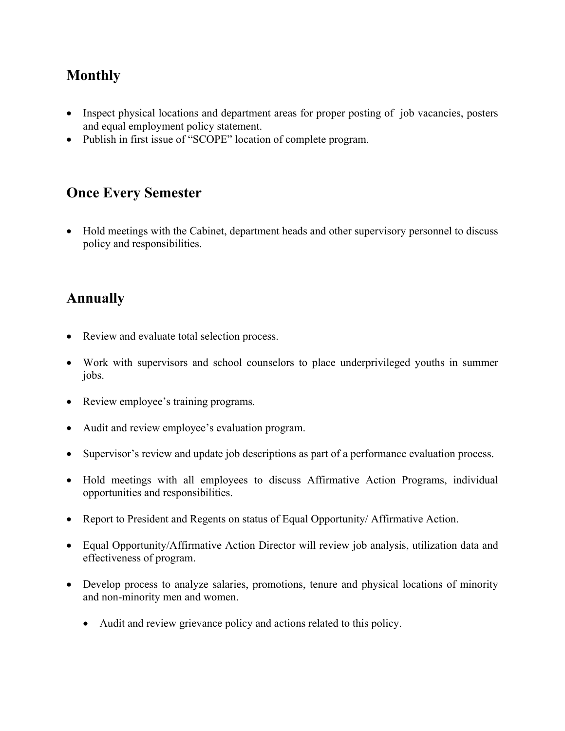### **Monthly**

- Inspect physical locations and department areas for proper posting of job vacancies, posters and equal employment policy statement.
- Publish in first issue of "SCOPE" location of complete program.

### **Once Every Semester**

• Hold meetings with the Cabinet, department heads and other supervisory personnel to discuss policy and responsibilities.

### **Annually**

- Review and evaluate total selection process.
- Work with supervisors and school counselors to place underprivileged youths in summer jobs.
- Review employee's training programs.
- Audit and review employee's evaluation program.
- Supervisor's review and update job descriptions as part of a performance evaluation process.
- Hold meetings with all employees to discuss Affirmative Action Programs, individual opportunities and responsibilities.
- Report to President and Regents on status of Equal Opportunity/ Affirmative Action.
- Equal Opportunity/Affirmative Action Director will review job analysis, utilization data and effectiveness of program.
- Develop process to analyze salaries, promotions, tenure and physical locations of minority and non-minority men and women.
	- Audit and review grievance policy and actions related to this policy.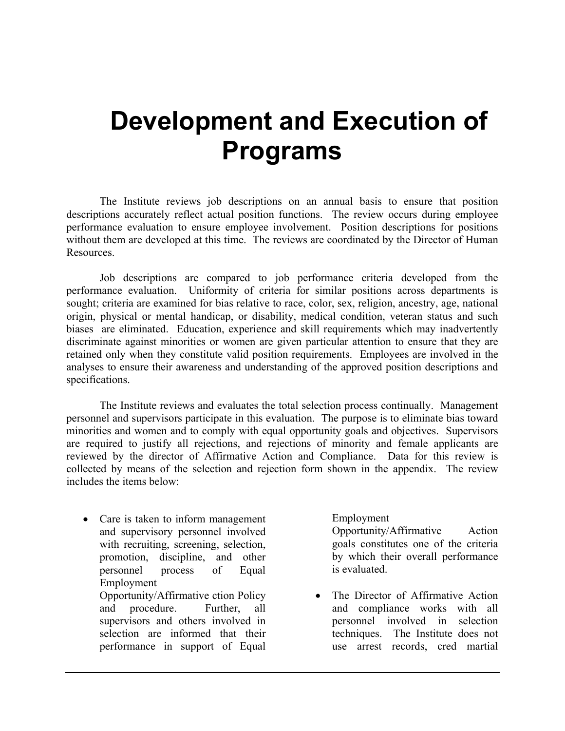# **Development and Execution of Programs**

The Institute reviews job descriptions on an annual basis to ensure that position descriptions accurately reflect actual position functions. The review occurs during employee performance evaluation to ensure employee involvement. Position descriptions for positions without them are developed at this time. The reviews are coordinated by the Director of Human Resources.

Job descriptions are compared to job performance criteria developed from the performance evaluation. Uniformity of criteria for similar positions across departments is sought; criteria are examined for bias relative to race, color, sex, religion, ancestry, age, national origin, physical or mental handicap, or disability, medical condition, veteran status and such biases are eliminated. Education, experience and skill requirements which may inadvertently discriminate against minorities or women are given particular attention to ensure that they are retained only when they constitute valid position requirements. Employees are involved in the analyses to ensure their awareness and understanding of the approved position descriptions and specifications.

The Institute reviews and evaluates the total selection process continually. Management personnel and supervisors participate in this evaluation. The purpose is to eliminate bias toward minorities and women and to comply with equal opportunity goals and objectives. Supervisors are required to justify all rejections, and rejections of minority and female applicants are reviewed by the director of Affirmative Action and Compliance. Data for this review is collected by means of the selection and rejection form shown in the appendix. The review includes the items below:

• Care is taken to inform management and supervisory personnel involved with recruiting, screening, selection, promotion, discipline, and other personnel process of Equal Employment Opportunity/Affirmative ction Policy and procedure. Further, all supervisors and others involved in selection are informed that their performance in support of Equal

#### Employment

Opportunity/Affirmative Action goals constitutes one of the criteria by which their overall performance is evaluated.

• The Director of Affirmative Action and compliance works with all personnel involved in selection techniques. The Institute does not use arrest records, cred martial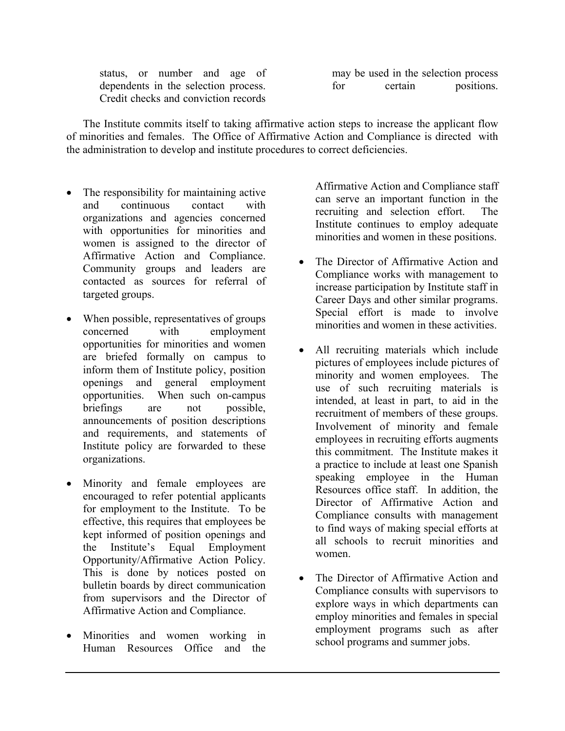status, or number and age of dependents in the selection process. Credit checks and conviction records

may be used in the selection process for certain positions.

The Institute commits itself to taking affirmative action steps to increase the applicant flow of minorities and females. The Office of Affirmative Action and Compliance is directed with the administration to develop and institute procedures to correct deficiencies.

- The responsibility for maintaining active and continuous contact with organizations and agencies concerned with opportunities for minorities and women is assigned to the director of Affirmative Action and Compliance. Community groups and leaders are contacted as sources for referral of targeted groups.
- When possible, representatives of groups concerned with employment opportunities for minorities and women are briefed formally on campus to inform them of Institute policy, position openings and general employment opportunities. When such on-campus briefings are not possible, announcements of position descriptions and requirements, and statements of Institute policy are forwarded to these organizations.
- Minority and female employees are encouraged to refer potential applicants for employment to the Institute. To be effective, this requires that employees be kept informed of position openings and the Institute's Equal Employment Opportunity/Affirmative Action Policy. This is done by notices posted on bulletin boards by direct communication from supervisors and the Director of Affirmative Action and Compliance.
- Minorities and women working in Human Resources Office and the

Affirmative Action and Compliance staff can serve an important function in the recruiting and selection effort. The Institute continues to employ adequate minorities and women in these positions.

- The Director of Affirmative Action and Compliance works with management to increase participation by Institute staff in Career Days and other similar programs. Special effort is made to involve minorities and women in these activities.
- All recruiting materials which include pictures of employees include pictures of minority and women employees. The use of such recruiting materials is intended, at least in part, to aid in the recruitment of members of these groups. Involvement of minority and female employees in recruiting efforts augments this commitment. The Institute makes it a practice to include at least one Spanish speaking employee in the Human Resources office staff. In addition, the Director of Affirmative Action and Compliance consults with management to find ways of making special efforts at all schools to recruit minorities and women.
- The Director of Affirmative Action and Compliance consults with supervisors to explore ways in which departments can employ minorities and females in special employment programs such as after school programs and summer jobs.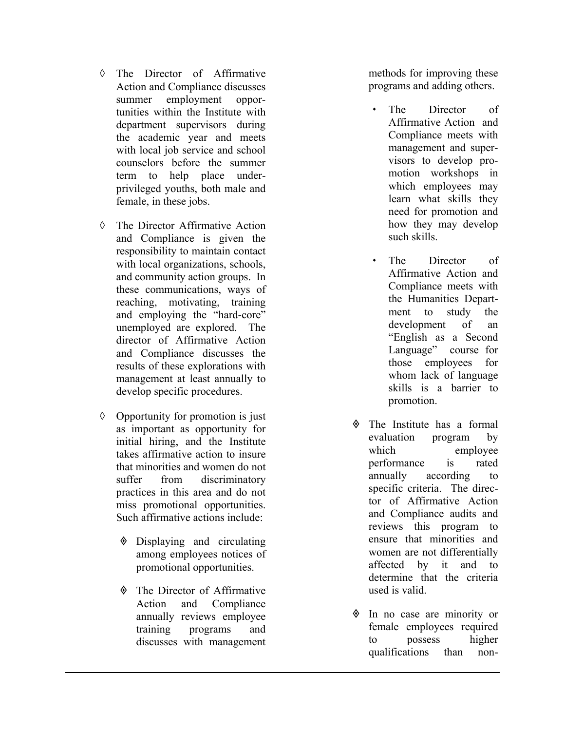- ◊ The Director of Affirmative Action and Compliance discusses summer employment opportunities within the Institute with departm ent supervisors during the academic year and meets with local job service and school counselors before the summer term to help place underprivileged youths, both male and fe m ale, in these jobs.
- ◊ The Directo r Affir mative Action and Comp l iance is given the responsibility to m aintain contact with local organizations, schools, and community action groups. In these com munications, ways of reaching, motivating, train ing and employing the "hard-core" unemployed are explored. The director of Affirmative Action and Compliance d iscusses the results of these explorations with management at least annually to develop specific procedures.
- ◊ Opportunity for promotion is just as important as opportunity for initial h iring, and the Institute takes affirmative action to insure that m inorities and women do not suffer from discrim inatory practices in this area and do not miss promotional opportunities. Such affir mative actions include:
	- Displaying and circulating among e mployees notices of promotional opportunities.
	- The Directo r of Affir mative Action and Compliance annually reviews employee training programs and discusses with m anagem ent

m ethods for improving these programs and adding others.

- The Director of Affirmative Action and Compliance meets with management and supervisors to develop promotion workshops in which employees m ay learn what skills the y need for promotion and how they m ay develop such skills.
- The Director of Affirmative Action and Compliance meets with the Hum anities Depar t m ent to study the development of an "English as a Second Language" course for those employees for whom lack of language skills is a barrier to promotion.
- The Institute has a formal evaluation program by which employee perform is rated annually according to specific criteria. The director of Affirmative Action and Compliance audits and reviews this program to ensure tha t m inoritie s and wom en are not differentially affected by it and to determine that the criteria used is valid.
- In no case are m inority or fem ale employees required to possess higher qualifications than non-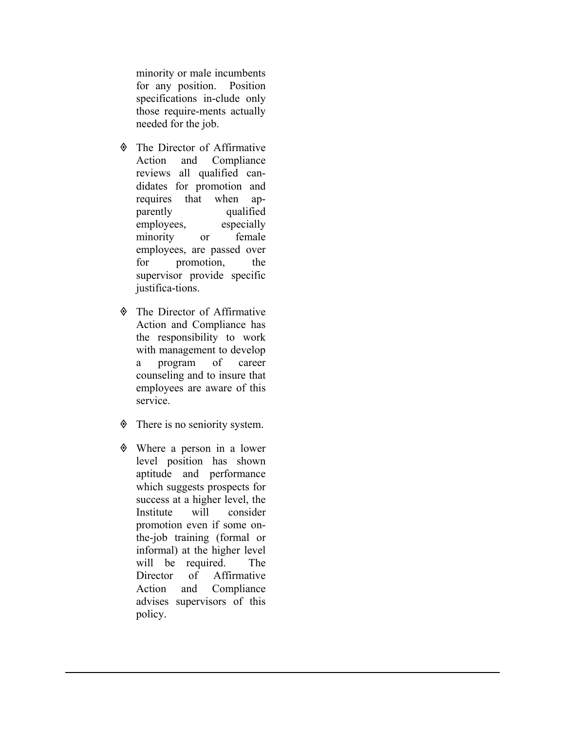minority or male incumbents for any position. Position specifications in-clude only those require-ments actually needed for the job.

- The Director of Affirmative Action and Compliance reviews all qualified candidates for promotion and requires that when apparently qualified employees, especially minority or female employees, are passed over for promotion, the supervisor provide specific justifica-tions.
- The Director of Affirmative Action and Compliance has the responsibility to work with management to develop a program of career counseling and to insure that employees are aware of this service.
- $\Diamond$  There is no seniority system.
- Where a person in a lower level position has shown aptitude and performance which suggests prospects for success at a higher level, the Institute will consider promotion even if some onthe-job training (formal or informal) at the higher level will be required. The Director of Affirmative Action and Compliance advises supervisors of this policy.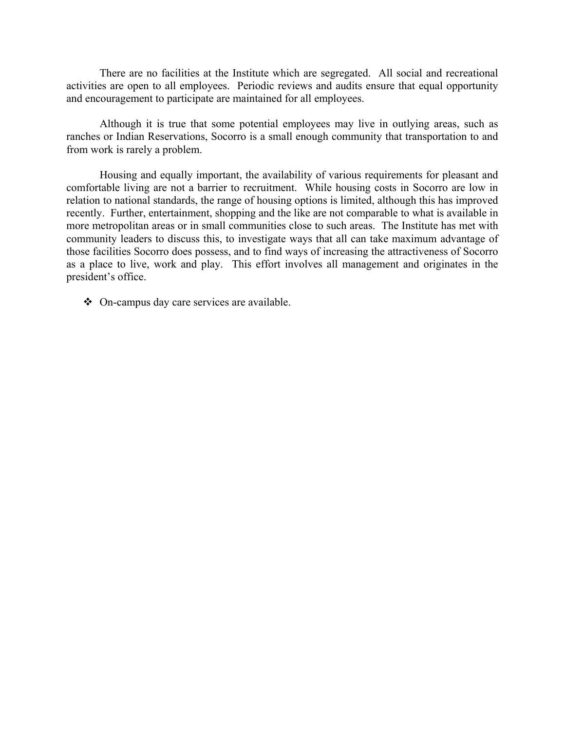There are no facilities at the Institute which are segregated. All social and recreational activities are open to all employees. Periodic reviews and audits ensure that equal opportunity and encouragement to participate are maintained for all employees.

Although it is true that some potential employees may live in outlying areas, such as ranches or Indian Reservations, Socorro is a small enough community that transportation to and from work is rarely a problem.

Housing and equally important, the availability of various requirements for pleasant and comfortable living are not a barrier to recruitment. While housing costs in Socorro are low in relation to national standards, the range of housing options is limited, although this has improved recently. Further, entertainment, shopping and the like are not comparable to what is available in more metropolitan areas or in small communities close to such areas. The Institute has met with community leaders to discuss this, to investigate ways that all can take maximum advantage of those facilities Socorro does possess, and to find ways of increasing the attractiveness of Socorro as a place to live, work and play. This effort involves all management and originates in the president's office.

On-campus day care services are available.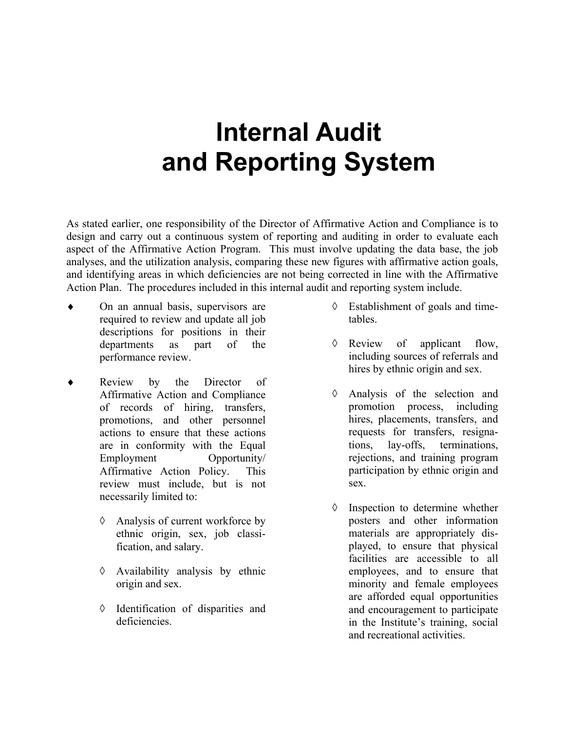# **Internal Audit and Reporting System**

As stated earlier, one responsibility of the Director of Affirmative Action and Compliance is to design and carry out a continuous system of reporting and auditing in order to evaluate each aspect of the Affirmative Action Program. This must involve updating the data base, the job analyses, and the utilization analysis, comparing these new figures with affirmative action goals, and identifying areas in which deficiencies are not being corrected in line with the Affirmative Action Plan. The procedures included in this internal audit and reporting system include.

- ♦ On an annual basis, supervisors are required to review and update all job descriptions for positions in their departments as part of the performance review.
- ♦ Review by the Director of Affirmative Action and Compliance of records of hiring, transfers, promotions, and other personnel actions to ensure that these actions are in conformity with the Equal Employment Opportunity/ Affirmative Action Policy. This review must include, but is not necessarily limited to:
	- ◊ Analysis of current workforce by ethnic origin, sex, job classification, and salary.
	- ◊ Availability analysis by ethnic origin and sex.
	- ◊ Identification of disparities and deficiencies.
- ◊ Establishment of goals and timetables.
- ◊ Review of applicant flow, including sources of referrals and hires by ethnic origin and sex.
- ◊ Analysis of the selection and promotion process, including hires, placements, transfers, and requests for transfers, resignations, lay-offs, terminations, rejections, and training program participation by ethnic origin and sex.
- ◊ Inspection to determine whether posters and other information materials are appropriately displayed, to ensure that physical facilities are accessible to all employees, and to ensure that minority and female employees are afforded equal opportunities and encouragement to participate in the Institute's training, social and recreational activities.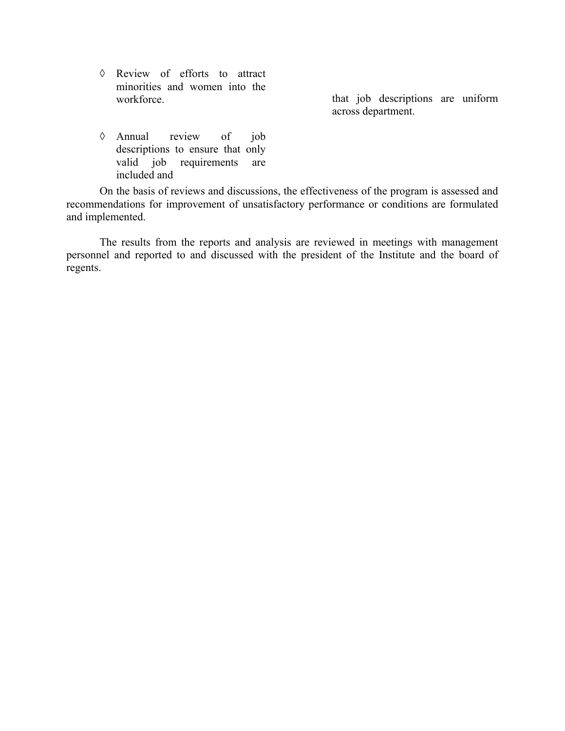◊ Review of efforts to attract minorities and women into the

workforce. that job descriptions are uniform across department.

◊ Annual review of job descriptions to ensure that only valid job requirements are included and

On the basis of reviews and discussions, the effectiveness of the program is assessed and recommendations for improvement of unsatisfactory performance or conditions are formulated and implemented.

The results from the reports and analysis are reviewed in meetings with management personnel and reported to and discussed with the president of the Institute and the board of regents.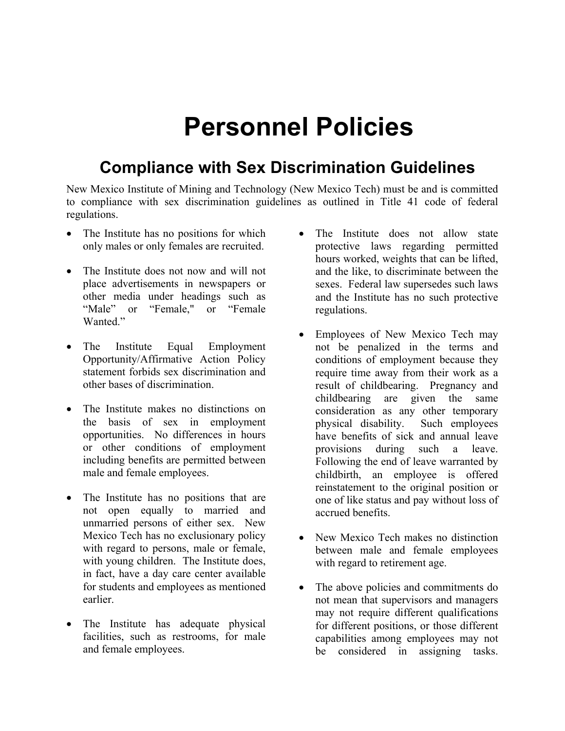# **Personnel Policies**

### **Compliance with Sex Discrimination Guidelines**

New Mexico Institute of Mining and Technology (New Mexico Tech) must be and is committed to compliance with sex discrimination guidelines as outlined in Title 41 code of federal regulations.

- The Institute has no positions for which only males or only females are recruited.
- The Institute does not now and will not place advertisements in newspapers or other media under headings such as "Male" or "Female," or "Female Wanted<sup>"</sup>
- The Institute Equal Employment Opportunity/Affirmative Action Policy statement forbids sex discrimination and other bases of discrimination.
- The Institute makes no distinctions on the basis of sex in employment opportunities. No differences in hours or other conditions of employment including benefits are permitted between male and female employees.
- The Institute has no positions that are not open equally to married and unmarried persons of either sex. New Mexico Tech has no exclusionary policy with regard to persons, male or female, with young children. The Institute does, in fact, have a day care center available for students and employees as mentioned earlier.
- The Institute has adequate physical facilities, such as restrooms, for male and female employees.
- The Institute does not allow state protective laws regarding permitted hours worked, weights that can be lifted, and the like, to discriminate between the sexes. Federal law supersedes such laws and the Institute has no such protective regulations.
- Employees of New Mexico Tech may not be penalized in the terms and conditions of employment because they require time away from their work as a result of childbearing. Pregnancy and childbearing are given the same consideration as any other temporary physical disability. Such employees have benefits of sick and annual leave provisions during such a leave. Following the end of leave warranted by childbirth, an employee is offered reinstatement to the original position or one of like status and pay without loss of accrued benefits.
- New Mexico Tech makes no distinction between male and female employees with regard to retirement age.
- The above policies and commitments do not mean that supervisors and managers may not require different qualifications for different positions, or those different capabilities among employees may not be considered in assigning tasks.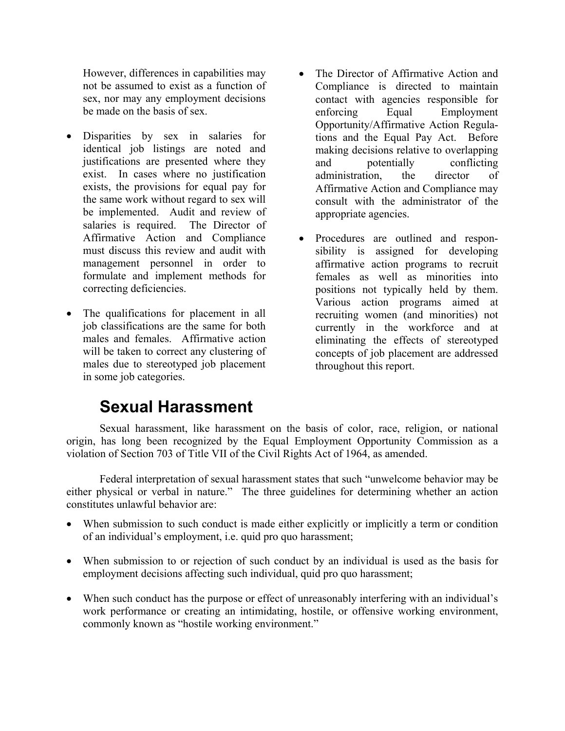However, differences in capabilities may not be assumed to exist as a function of sex, nor may any employment decisions be made on the basis of sex.

- Disparities by sex in salaries for identical job listings are noted and justifications are presented where they exist. In cases where no justification exists, the provisions for equal pay for the same work without regard to sex will be implemented. Audit and review of salaries is required. The Director of Affirmative Action and Compliance must discuss this review and audit with management personnel in order to formulate and implement methods for correcting deficiencies.
- The qualifications for placement in all job classifications are the same for both males and females. Affirmative action will be taken to correct any clustering of males due to stereotyped job placement in some job categories.
- The Director of Affirmative Action and Compliance is directed to maintain contact with agencies responsible for enforcing Equal Employment Opportunity/Affirmative Action Regulations and the Equal Pay Act. Before making decisions relative to overlapping and potentially conflicting administration, the director of Affirmative Action and Compliance may consult with the administrator of the appropriate agencies.
- Procedures are outlined and responsibility is assigned for developing affirmative action programs to recruit females as well as minorities into positions not typically held by them. Various action programs aimed at recruiting women (and minorities) not currently in the workforce and at eliminating the effects of stereotyped concepts of job placement are addressed throughout this report.

### **Sexual Harassment**

Sexual harassment, like harassment on the basis of color, race, religion, or national origin, has long been recognized by the Equal Employment Opportunity Commission as a violation of Section 703 of Title VII of the Civil Rights Act of 1964, as amended.

Federal interpretation of sexual harassment states that such "unwelcome behavior may be either physical or verbal in nature." The three guidelines for determining whether an action constitutes unlawful behavior are:

- When submission to such conduct is made either explicitly or implicitly a term or condition of an individual's employment, i.e. quid pro quo harassment;
- When submission to or rejection of such conduct by an individual is used as the basis for employment decisions affecting such individual, quid pro quo harassment;
- When such conduct has the purpose or effect of unreasonably interfering with an individual's work performance or creating an intimidating, hostile, or offensive working environment, commonly known as "hostile working environment."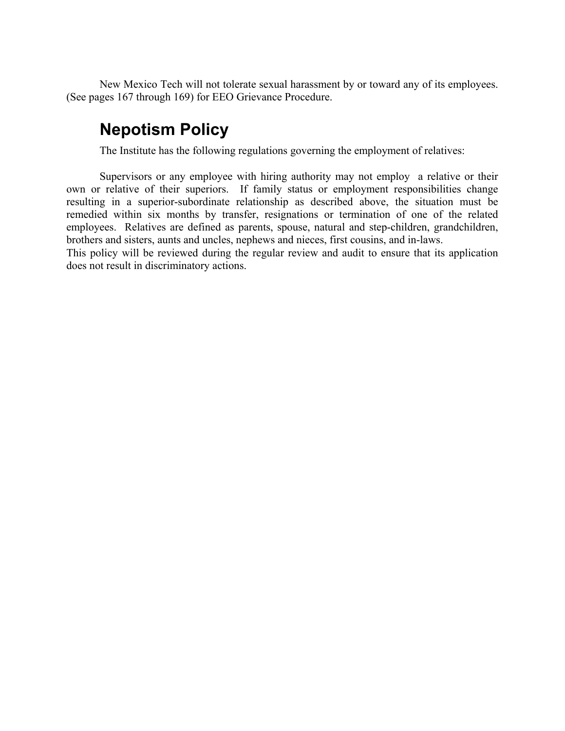New Mexico Tech will not tolerate sexual harassment by or toward any of its employees. (See pages 167 through 169) for EEO Grievance Procedure.

### **Nepotism Policy**

The Institute has the following regulations governing the employment of relatives:

Supervisors or any employee with hiring authority may not employ a relative or their own or relative of their superiors. If family status or employment responsibilities change resulting in a superior-subordinate relationship as described above, the situation must be remedied within six months by transfer, resignations or termination of one of the related employees. Relatives are defined as parents, spouse, natural and step-children, grandchildren, brothers and sisters, aunts and uncles, nephews and nieces, first cousins, and in-laws.

This policy will be reviewed during the regular review and audit to ensure that its application does not result in discriminatory actions.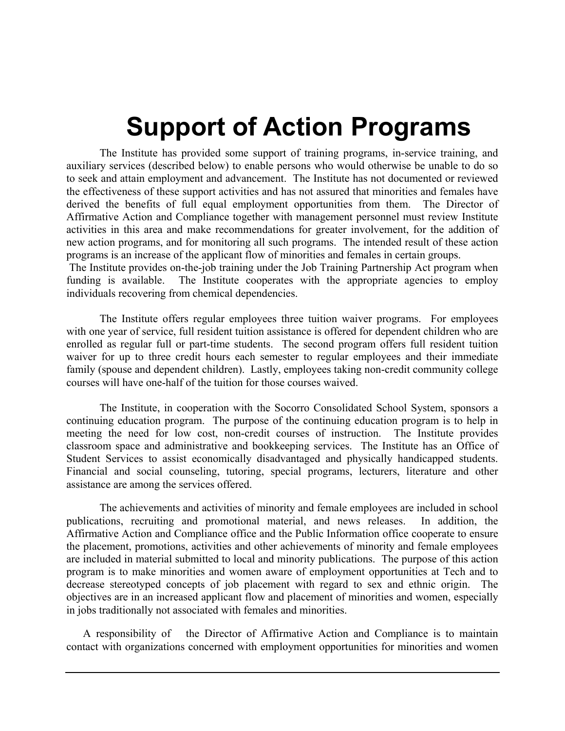# **Support of Action Programs**

The Institute has provided some support of training programs, in-service training, and auxiliary services (described below) to enable persons who would otherwise be unable to do so to seek and attain employment and advancement. The Institute has not documented or reviewed the effectiveness of these support activities and has not assured that minorities and females have derived the benefits of full equal employment opportunities from them. The Director of Affirmative Action and Compliance together with management personnel must review Institute activities in this area and make recommendations for greater involvement, for the addition of new action programs, and for monitoring all such programs. The intended result of these action programs is an increase of the applicant flow of minorities and females in certain groups.

The Institute provides on-the-job training under the Job Training Partnership Act program when funding is available. The Institute cooperates with the appropriate agencies to employ individuals recovering from chemical dependencies.

The Institute offers regular employees three tuition waiver programs. For employees with one year of service, full resident tuition assistance is offered for dependent children who are enrolled as regular full or part-time students. The second program offers full resident tuition waiver for up to three credit hours each semester to regular employees and their immediate family (spouse and dependent children). Lastly, employees taking non-credit community college courses will have one-half of the tuition for those courses waived.

The Institute, in cooperation with the Socorro Consolidated School System, sponsors a continuing education program. The purpose of the continuing education program is to help in meeting the need for low cost, non-credit courses of instruction. The Institute provides classroom space and administrative and bookkeeping services. The Institute has an Office of Student Services to assist economically disadvantaged and physically handicapped students. Financial and social counseling, tutoring, special programs, lecturers, literature and other assistance are among the services offered.

The achievements and activities of minority and female employees are included in school publications, recruiting and promotional material, and news releases. In addition, the Affirmative Action and Compliance office and the Public Information office cooperate to ensure the placement, promotions, activities and other achievements of minority and female employees are included in material submitted to local and minority publications. The purpose of this action program is to make minorities and women aware of employment opportunities at Tech and to decrease stereotyped concepts of job placement with regard to sex and ethnic origin. The objectives are in an increased applicant flow and placement of minorities and women, especially in jobs traditionally not associated with females and minorities.

A responsibility of the Director of Affirmative Action and Compliance is to maintain contact with organizations concerned with employment opportunities for minorities and women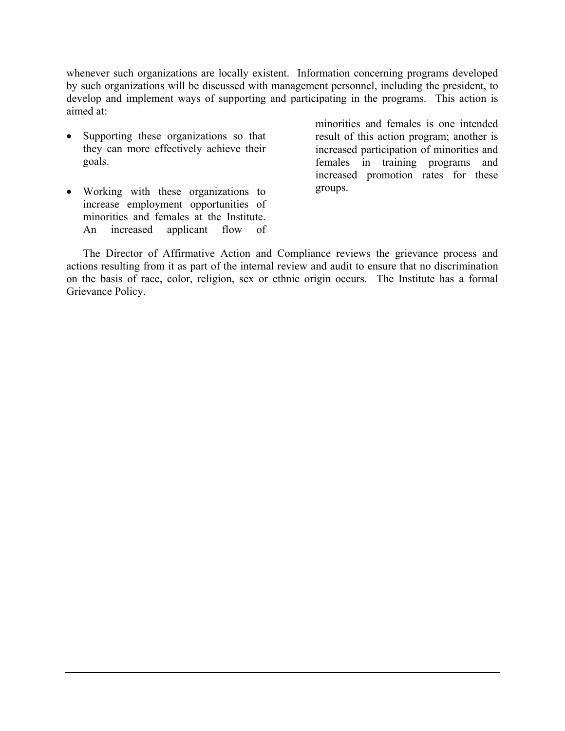whenever such organizations are locally existent. Information concerning programs developed by such organizations will be discussed with management personnel, including the president, to develop and implement ways of supporting and participating in the programs. This action is aimed at:

- Supporting these organizations so that they can more effectively achieve their goals.
- Working with these organizations to increase employment opportunities of minorities and females at the Institute. An increased applicant flow of

minorities and females is one intended result of this action program; another is increased participation of minorities and females in training programs and increased promotion rates for these groups.

The Director of Affirmative Action and Compliance reviews the grievance process and actions resulting from it as part of the internal review and audit to ensure that no discrimination on the basis of race, color, religion, sex or ethnic origin occurs. The Institute has a formal Grievance Policy.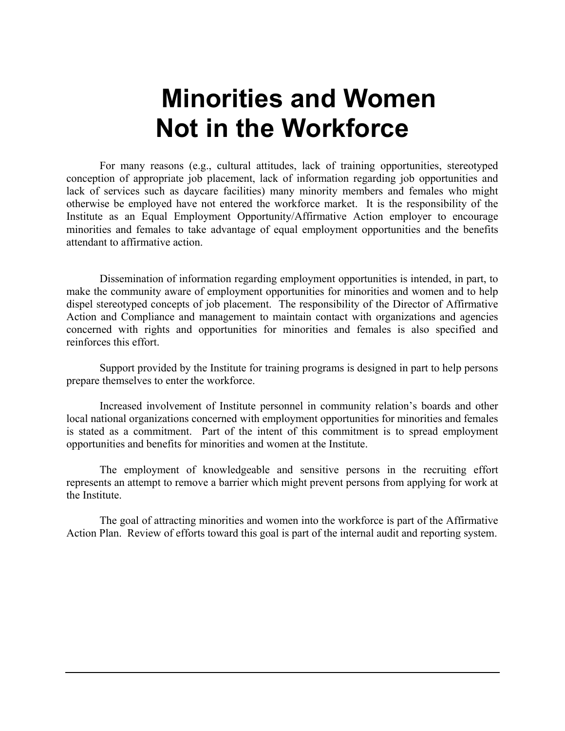# **Minorities and Women Not in the Workforce**

For many reasons (e.g., cultural attitudes, lack of training opportunities, stereotyped conception of appropriate job placement, lack of information regarding job opportunities and lack of services such as daycare facilities) many minority members and females who might otherwise be employed have not entered the workforce market. It is the responsibility of the Institute as an Equal Employment Opportunity/Affirmative Action employer to encourage minorities and females to take advantage of equal employment opportunities and the benefits attendant to affirmative action.

Dissemination of information regarding employment opportunities is intended, in part, to make the community aware of employment opportunities for minorities and women and to help dispel stereotyped concepts of job placement. The responsibility of the Director of Affirmative Action and Compliance and management to maintain contact with organizations and agencies concerned with rights and opportunities for minorities and females is also specified and reinforces this effort.

Support provided by the Institute for training programs is designed in part to help persons prepare themselves to enter the workforce.

Increased involvement of Institute personnel in community relation's boards and other local national organizations concerned with employment opportunities for minorities and females is stated as a commitment. Part of the intent of this commitment is to spread employment opportunities and benefits for minorities and women at the Institute.

The employment of knowledgeable and sensitive persons in the recruiting effort represents an attempt to remove a barrier which might prevent persons from applying for work at the Institute.

The goal of attracting minorities and women into the workforce is part of the Affirmative Action Plan. Review of efforts toward this goal is part of the internal audit and reporting system.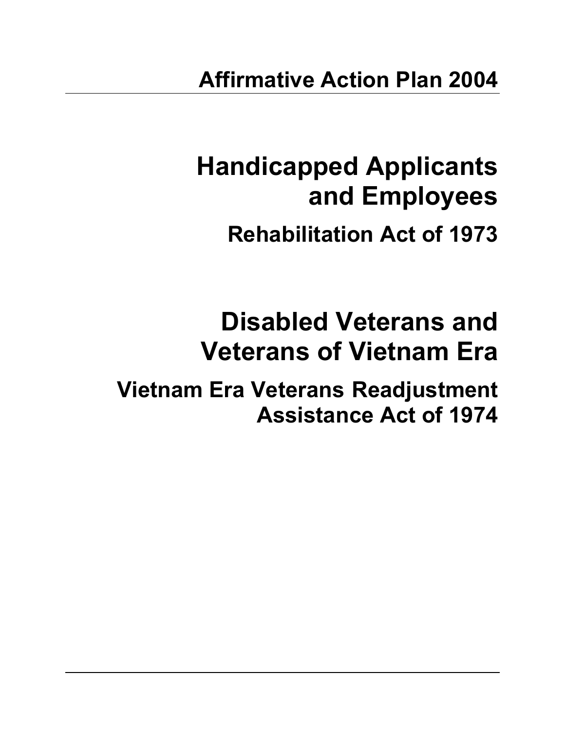# **Handicapped Applicants and Employees**

# **Rehabilitation Act of 1973**

# **Disabled Veterans and Veterans of Vietnam Era**

**Vietnam Era Veterans Readjustment Assistance Act of 1974**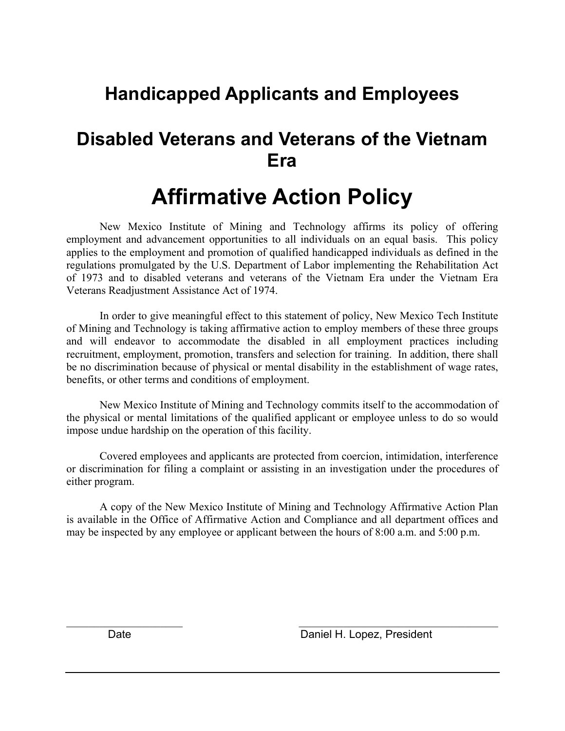### **Handicapped Applicants and Employees**

### **Disabled Veterans and Veterans of the Vietnam Era**

### **Affirmative Action Policy**

New Mexico Institute of Mining and Technology affirms its policy of offering employment and advancement opportunities to all individuals on an equal basis. This policy applies to the employment and promotion of qualified handicapped individuals as defined in the regulations promulgated by the U.S. Department of Labor implementing the Rehabilitation Act of 1973 and to disabled veterans and veterans of the Vietnam Era under the Vietnam Era Veterans Readjustment Assistance Act of 1974.

In order to give meaningful effect to this statement of policy, New Mexico Tech Institute of Mining and Technology is taking affirmative action to employ members of these three groups and will endeavor to accommodate the disabled in all employment practices including recruitment, employment, promotion, transfers and selection for training. In addition, there shall be no discrimination because of physical or mental disability in the establishment of wage rates, benefits, or other terms and conditions of employment.

New Mexico Institute of Mining and Technology commits itself to the accommodation of the physical or mental limitations of the qualified applicant or employee unless to do so would impose undue hardship on the operation of this facility.

Covered employees and applicants are protected from coercion, intimidation, interference or discrimination for filing a complaint or assisting in an investigation under the procedures of either program.

A copy of the New Mexico Institute of Mining and Technology Affirmative Action Plan is available in the Office of Affirmative Action and Compliance and all department offices and may be inspected by any employee or applicant between the hours of 8:00 a.m. and 5:00 p.m.

 $\mathcal{L}_\text{max}$  , and the contribution of the contribution of the contribution of the contribution of the contribution of the contribution of the contribution of the contribution of the contribution of the contribution of t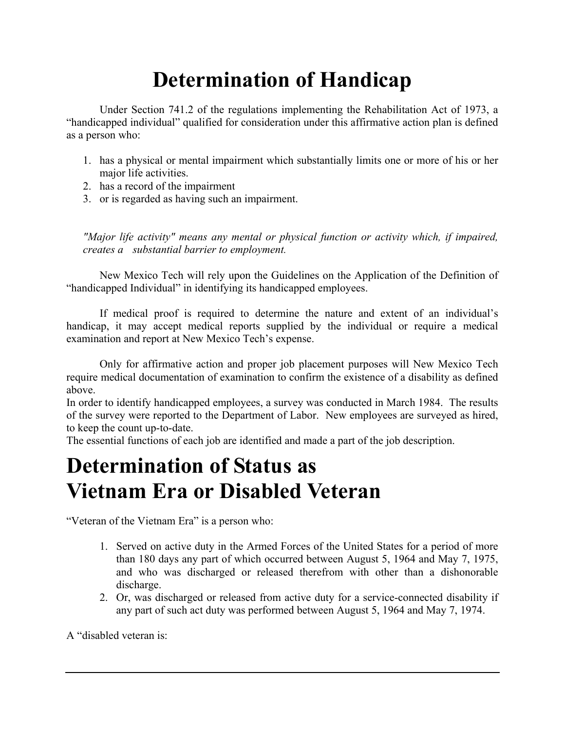## **Determination of Handicap**

Under Section 741.2 of the regulations implementing the Rehabilitation Act of 1973, a "handicapped individual" qualified for consideration under this affirmative action plan is defined as a person who:

- 1. has a physical or mental impairment which substantially limits one or more of his or her major life activities.
- 2. has a record of the impairment
- 3. or is regarded as having such an impairment.

*"Major life activity" means any mental or physical function or activity which, if impaired, creates a substantial barrier to employment.*

New Mexico Tech will rely upon the Guidelines on the Application of the Definition of "handicapped Individual" in identifying its handicapped employees.

If medical proof is required to determine the nature and extent of an individual's handicap, it may accept medical reports supplied by the individual or require a medical examination and report at New Mexico Tech's expense.

Only for affirmative action and proper job placement purposes will New Mexico Tech require medical documentation of examination to confirm the existence of a disability as defined above.

In order to identify handicapped employees, a survey was conducted in March 1984. The results of the survey were reported to the Department of Labor. New employees are surveyed as hired, to keep the count up-to-date.

The essential functions of each job are identified and made a part of the job description.

### **Determination of Status as Vietnam Era or Disabled Veteran**

"Veteran of the Vietnam Era" is a person who:

- 1. Served on active duty in the Armed Forces of the United States for a period of more than 180 days any part of which occurred between August 5, 1964 and May 7, 1975, and who was discharged or released therefrom with other than a dishonorable discharge.
- 2. Or, was discharged or released from active duty for a service-connected disability if any part of such act duty was performed between August 5, 1964 and May 7, 1974.

A "disabled veteran is: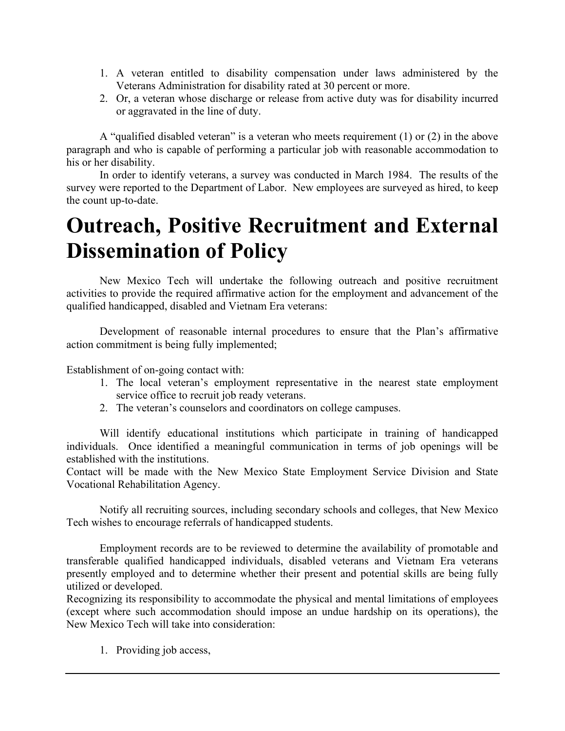- 1. A veteran entitled to disability compensation under laws administered by the Veterans Administration for disability rated at 30 percent or more.
- 2. Or, a veteran whose discharge or release from active duty was for disability incurred or aggravated in the line of duty.

A "qualified disabled veteran" is a veteran who meets requirement (1) or (2) in the above paragraph and who is capable of performing a particular job with reasonable accommodation to his or her disability.

In order to identify veterans, a survey was conducted in March 1984. The results of the survey were reported to the Department of Labor. New employees are surveyed as hired, to keep the count up-to-date.

### **Outreach, Positive Recruitment and External Dissemination of Policy**

New Mexico Tech will undertake the following outreach and positive recruitment activities to provide the required affirmative action for the employment and advancement of the qualified handicapped, disabled and Vietnam Era veterans:

Development of reasonable internal procedures to ensure that the Plan's affirmative action commitment is being fully implemented;

Establishment of on-going contact with:

- 1. The local veteran's employment representative in the nearest state employment service office to recruit job ready veterans.
- 2. The veteran's counselors and coordinators on college campuses.

Will identify educational institutions which participate in training of handicapped individuals. Once identified a meaningful communication in terms of job openings will be established with the institutions.

Contact will be made with the New Mexico State Employment Service Division and State Vocational Rehabilitation Agency.

Notify all recruiting sources, including secondary schools and colleges, that New Mexico Tech wishes to encourage referrals of handicapped students.

Employment records are to be reviewed to determine the availability of promotable and transferable qualified handicapped individuals, disabled veterans and Vietnam Era veterans presently employed and to determine whether their present and potential skills are being fully utilized or developed.

Recognizing its responsibility to accommodate the physical and mental limitations of employees (except where such accommodation should impose an undue hardship on its operations), the New Mexico Tech will take into consideration:

1. Providing job access,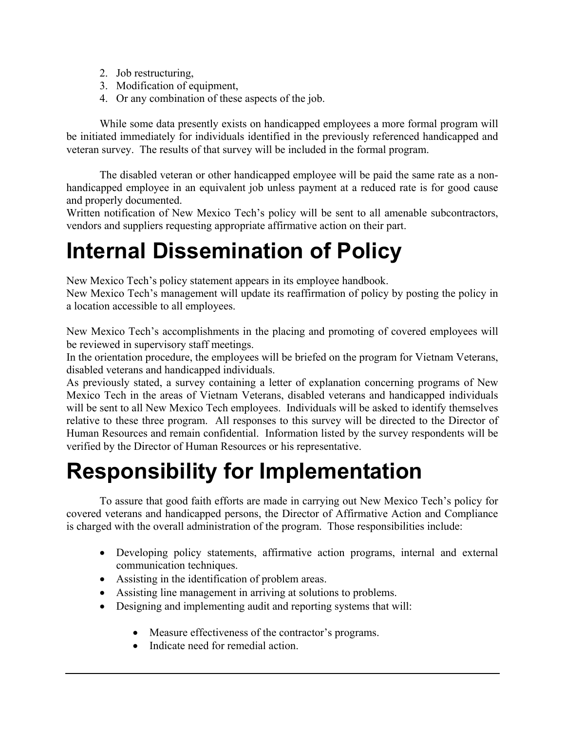- 2. Job restructuring,
- 3. Modification of equipment,
- 4. Or any combination of these aspects of the job.

While some data presently exists on handicapped employees a more formal program will be initiated immediately for individuals identified in the previously referenced handicapped and veteran survey. The results of that survey will be included in the formal program.

The disabled veteran or other handicapped employee will be paid the same rate as a nonhandicapped employee in an equivalent job unless payment at a reduced rate is for good cause and properly documented.

Written notification of New Mexico Tech's policy will be sent to all amenable subcontractors, vendors and suppliers requesting appropriate affirmative action on their part.

## **Internal Dissemination of Policy**

New Mexico Tech's policy statement appears in its employee handbook.

New Mexico Tech's management will update its reaffirmation of policy by posting the policy in a location accessible to all employees.

New Mexico Tech's accomplishments in the placing and promoting of covered employees will be reviewed in supervisory staff meetings.

In the orientation procedure, the employees will be briefed on the program for Vietnam Veterans, disabled veterans and handicapped individuals.

As previously stated, a survey containing a letter of explanation concerning programs of New Mexico Tech in the areas of Vietnam Veterans, disabled veterans and handicapped individuals will be sent to all New Mexico Tech employees. Individuals will be asked to identify themselves relative to these three program. All responses to this survey will be directed to the Director of Human Resources and remain confidential. Information listed by the survey respondents will be verified by the Director of Human Resources or his representative.

## **Responsibility for Implementation**

To assure that good faith efforts are made in carrying out New Mexico Tech's policy for covered veterans and handicapped persons, the Director of Affirmative Action and Compliance is charged with the overall administration of the program. Those responsibilities include:

- Developing policy statements, affirmative action programs, internal and external communication techniques.
- Assisting in the identification of problem areas.
- Assisting line management in arriving at solutions to problems.
- Designing and implementing audit and reporting systems that will:
	- Measure effectiveness of the contractor's programs.
	- Indicate need for remedial action.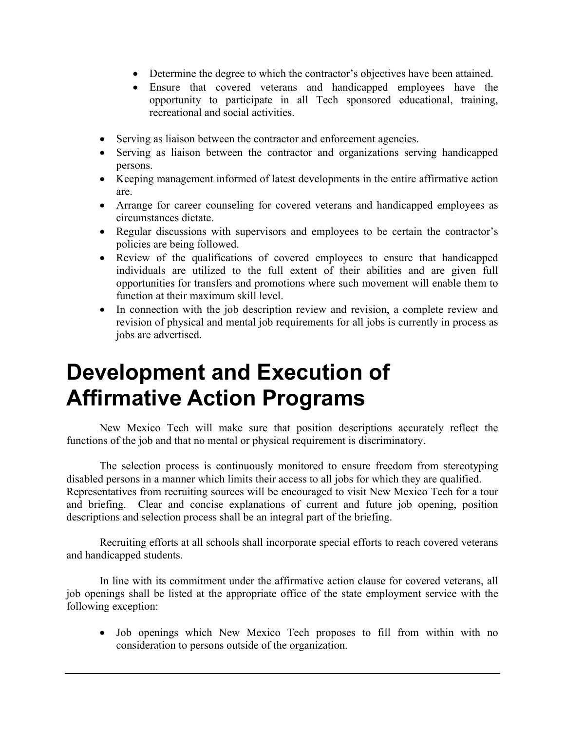- Determine the degree to which the contractor's objectives have been attained.
- Ensure that covered veterans and handicapped employees have the opportunity to participate in all Tech sponsored educational, training, recreational and social activities.
- Serving as liaison between the contractor and enforcement agencies.
- Serving as liaison between the contractor and organizations serving handicapped persons.
- Keeping management informed of latest developments in the entire affirmative action are.
- Arrange for career counseling for covered veterans and handicapped employees as circumstances dictate.
- Regular discussions with supervisors and employees to be certain the contractor's policies are being followed.
- Review of the qualifications of covered employees to ensure that handicapped individuals are utilized to the full extent of their abilities and are given full opportunities for transfers and promotions where such movement will enable them to function at their maximum skill level.
- In connection with the job description review and revision, a complete review and revision of physical and mental job requirements for all jobs is currently in process as jobs are advertised.

## **Development and Execution of Affirmative Action Programs**

New Mexico Tech will make sure that position descriptions accurately reflect the functions of the job and that no mental or physical requirement is discriminatory.

The selection process is continuously monitored to ensure freedom from stereotyping disabled persons in a manner which limits their access to all jobs for which they are qualified. Representatives from recruiting sources will be encouraged to visit New Mexico Tech for a tour and briefing. Clear and concise explanations of current and future job opening, position descriptions and selection process shall be an integral part of the briefing.

Recruiting efforts at all schools shall incorporate special efforts to reach covered veterans and handicapped students.

In line with its commitment under the affirmative action clause for covered veterans, all job openings shall be listed at the appropriate office of the state employment service with the following exception:

• Job openings which New Mexico Tech proposes to fill from within with no consideration to persons outside of the organization.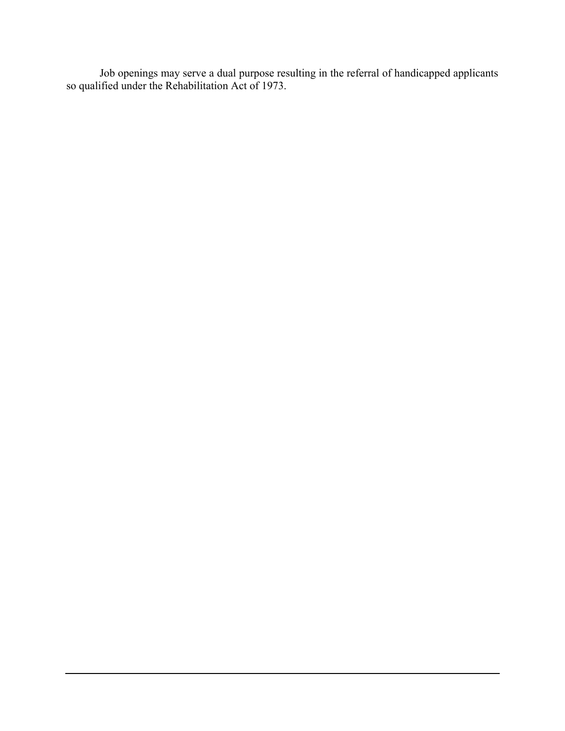Job openings may serve a dual purpose resulting in the referral of handicapped applicants so qualified under the Rehabilitation Act of 1973.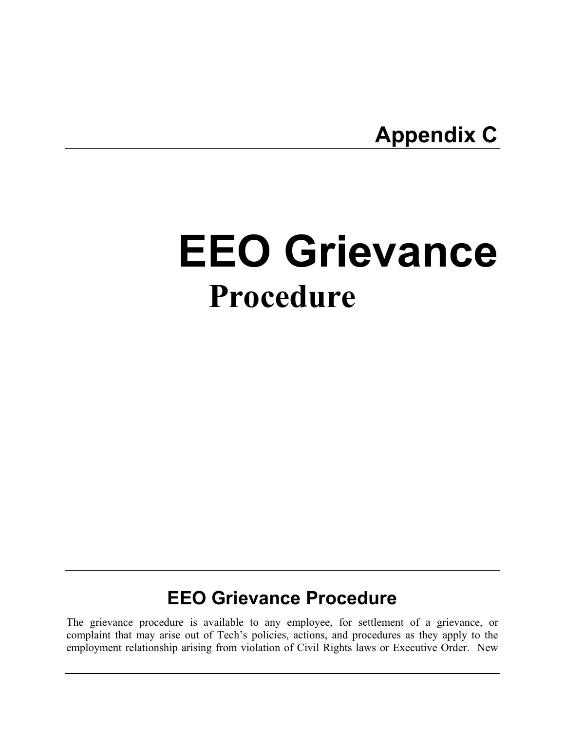**Appendix C** 

# **EEO Grievance Procedure**

### **EEO Grievance Procedure**

The grievance procedure is available to any employee, for settlement of a grievance, or complaint that may arise out of Tech's policies, actions, and procedures as they apply to the employment relationship arising from violation of Civil Rights laws or Executive Order. New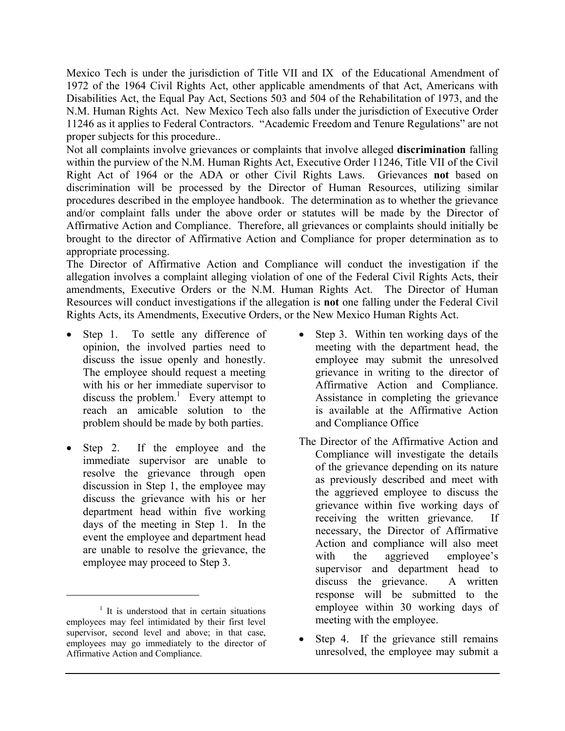Mexico Tech is under the jurisdiction of Title VII and IX of the Educational Amendment of 1972 of the 1964 Civil Rights Act, other applicable amendments of that Act, Americans with Disabilities Act, the Equal Pay Act, Sections 503 and 504 of the Rehabilitation of 1973, and the N.M. Human Rights Act. New Mexico Tech also falls under the jurisdiction of Executive Order 11246 as it applies to Federal Contractors. "Academic Freedom and Tenure Regulations" are not proper subjects for this procedure..

Not all complaints involve grievances or complaints that involve alleged **discrimination** falling within the purview of the N.M. Human Rights Act, Executive Order 11246, Title VII of the Civil Right Act of 1964 or the ADA or other Civil Rights Laws. Grievances **not** based on discrimination will be processed by the Director of Human Resources, utilizing similar procedures described in the employee handbook. The determination as to whether the grievance and/or complaint falls under the above order or statutes will be made by the Director of Affirmative Action and Compliance. Therefore, all grievances or complaints should initially be brought to the director of Affirmative Action and Compliance for proper determination as to appropriate processing.

The Director of Affirmative Action and Compliance will conduct the investigation if the allegation involves a complaint alleging violation of one of the Federal Civil Rights Acts, their amendments, Executive Orders or the N.M. Human Rights Act. The Director of Human Resources will conduct investigations if the allegation is **not** one falling under the Federal Civil Rights Acts, its Amendments, Executive Orders, or the New Mexico Human Rights Act.

- Step 1. To settle any difference of opinion, the involved parties need to discuss the issue openly and honestly. The employee should request a meeting with his or her immediate supervisor to discuss the problem.<sup>[1](#page-41-0)</sup> Every attempt to reach an amicable solution to the problem should be made by both parties.
- Step 2. If the employee and the immediate supervisor are unable to resolve the grievance through open discussion in Step 1, the employee may discuss the grievance with his or her department head within five working days of the meeting in Step 1. In the event the employee and department head are unable to resolve the grievance, the employee may proceed to Step 3.

 $\overline{a}$ 

- Step 3. Within ten working days of the meeting with the department head, the employee may submit the unresolved grievance in writing to the director of Affirmative Action and Compliance. Assistance in completing the grievance is available at the Affirmative Action and Compliance Office
- The Director of the Affirmative Action and Compliance will investigate the details of the grievance depending on its nature as previously described and meet with the aggrieved employee to discuss the grievance within five working days of receiving the written grievance. If necessary, the Director of Affirmative Action and compliance will also meet with the aggrieved employee's supervisor and department head to discuss the grievance. A written response will be submitted to the employee within 30 working days of meeting with the employee.
- Step 4. If the grievance still remains unresolved, the employee may submit a

<span id="page-41-0"></span><sup>&</sup>lt;sup>1</sup> It is understood that in certain situations employees may feel intimidated by their first level supervisor, second level and above; in that case, employees may go immediately to the director of Affirmative Action and Compliance.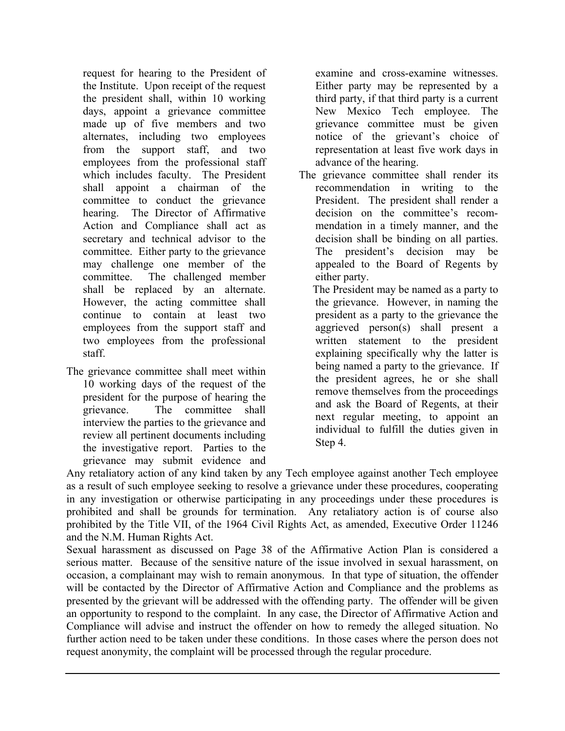request for hearing to the President of the Institute. Upon receipt of the request the president shall, within 10 working days, appoint a grievance committee made up of five members and two alternates, including two employees from the support staff, and two employees from the professional staff which includes faculty. The President shall appoint a chairman of the committee to conduct the grievance hearing. The Director of Affirmative Action and Compliance shall act as secretary and technical advisor to the committee. Either party to the grievance may challenge one member of the committee. The challenged member shall be replaced by an alternate. However, the acting committee shall continue to contain at least two employees from the support staff and two employees from the professional staff.

The grievance committee shall meet within 10 working days of the request of the president for the purpose of hearing the grievance. The committee shall interview the parties to the grievance and review all pertinent documents including the investigative report. Parties to the grievance may submit evidence and

examine and cross-examine witnesses. Either party may be represented by a third party, if that third party is a current New Mexico Tech employee. The grievance committee must be given notice of the grievant's choice of representation at least five work days in advance of the hearing.

The grievance committee shall render its recommendation in writing to the President. The president shall render a decision on the committee's recommendation in a timely manner, and the decision shall be binding on all parties. The president's decision may be appealed to the Board of Regents by either party.

 The President may be named as a party to the grievance. However, in naming the president as a party to the grievance the aggrieved person(s) shall present a written statement to the president explaining specifically why the latter is being named a party to the grievance. If the president agrees, he or she shall remove themselves from the proceedings and ask the Board of Regents, at their next regular meeting, to appoint an individual to fulfill the duties given in Step 4.

Any retaliatory action of any kind taken by any Tech employee against another Tech employee as a result of such employee seeking to resolve a grievance under these procedures, cooperating in any investigation or otherwise participating in any proceedings under these procedures is prohibited and shall be grounds for termination. Any retaliatory action is of course also prohibited by the Title VII, of the 1964 Civil Rights Act, as amended, Executive Order 11246 and the N.M. Human Rights Act.

Sexual harassment as discussed on Page 38 of the Affirmative Action Plan is considered a serious matter. Because of the sensitive nature of the issue involved in sexual harassment, on occasion, a complainant may wish to remain anonymous. In that type of situation, the offender will be contacted by the Director of Affirmative Action and Compliance and the problems as presented by the grievant will be addressed with the offending party. The offender will be given an opportunity to respond to the complaint. In any case, the Director of Affirmative Action and Compliance will advise and instruct the offender on how to remedy the alleged situation. No further action need to be taken under these conditions. In those cases where the person does not request anonymity, the complaint will be processed through the regular procedure.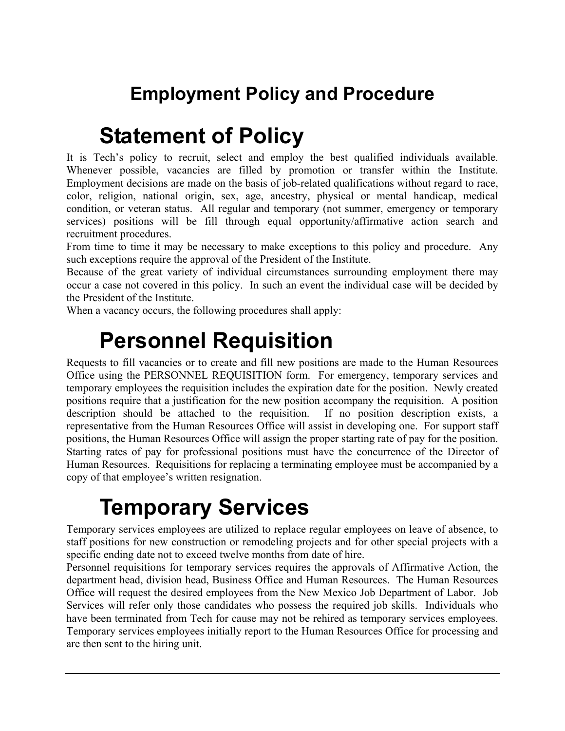### **Employment Policy and Procedure**

## **Statement of Policy**

It is Tech's policy to recruit, select and employ the best qualified individuals available. Whenever possible, vacancies are filled by promotion or transfer within the Institute. Employment decisions are made on the basis of job-related qualifications without regard to race, color, religion, national origin, sex, age, ancestry, physical or mental handicap, medical condition, or veteran status. All regular and temporary (not summer, emergency or temporary services) positions will be fill through equal opportunity/affirmative action search and recruitment procedures.

From time to time it may be necessary to make exceptions to this policy and procedure. Any such exceptions require the approval of the President of the Institute.

Because of the great variety of individual circumstances surrounding employment there may occur a case not covered in this policy. In such an event the individual case will be decided by the President of the Institute.

When a vacancy occurs, the following procedures shall apply:

## **Personnel Requisition**

Requests to fill vacancies or to create and fill new positions are made to the Human Resources Office using the PERSONNEL REQUISITION form. For emergency, temporary services and temporary employees the requisition includes the expiration date for the position. Newly created positions require that a justification for the new position accompany the requisition. A position description should be attached to the requisition. If no position description exists, a representative from the Human Resources Office will assist in developing one. For support staff positions, the Human Resources Office will assign the proper starting rate of pay for the position. Starting rates of pay for professional positions must have the concurrence of the Director of Human Resources. Requisitions for replacing a terminating employee must be accompanied by a copy of that employee's written resignation.

## **Temporary Services**

Temporary services employees are utilized to replace regular employees on leave of absence, to staff positions for new construction or remodeling projects and for other special projects with a specific ending date not to exceed twelve months from date of hire.

Personnel requisitions for temporary services requires the approvals of Affirmative Action, the department head, division head, Business Office and Human Resources. The Human Resources Office will request the desired employees from the New Mexico Job Department of Labor. Job Services will refer only those candidates who possess the required job skills. Individuals who have been terminated from Tech for cause may not be rehired as temporary services employees. Temporary services employees initially report to the Human Resources Office for processing and are then sent to the hiring unit.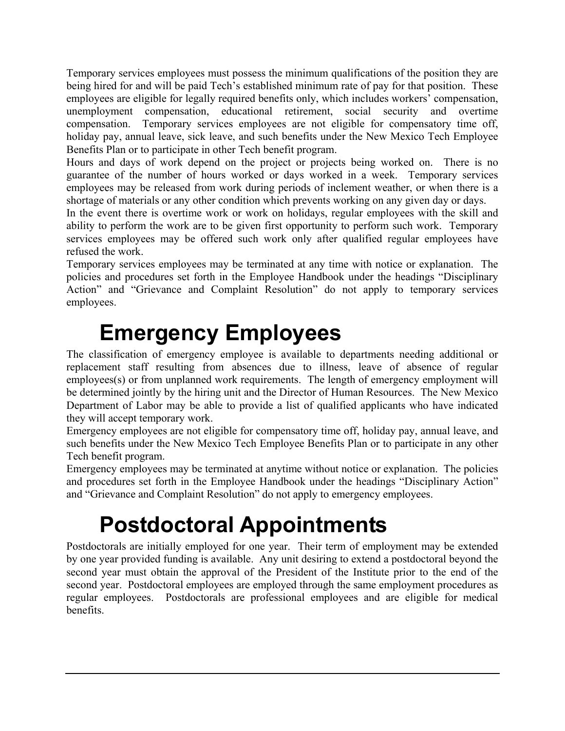Temporary services employees must possess the minimum qualifications of the position they are being hired for and will be paid Tech's established minimum rate of pay for that position. These employees are eligible for legally required benefits only, which includes workers' compensation, unemployment compensation, educational retirement, social security and overtime compensation. Temporary services employees are not eligible for compensatory time off, holiday pay, annual leave, sick leave, and such benefits under the New Mexico Tech Employee Benefits Plan or to participate in other Tech benefit program.

Hours and days of work depend on the project or projects being worked on. There is no guarantee of the number of hours worked or days worked in a week. Temporary services employees may be released from work during periods of inclement weather, or when there is a shortage of materials or any other condition which prevents working on any given day or days.

In the event there is overtime work or work on holidays, regular employees with the skill and ability to perform the work are to be given first opportunity to perform such work. Temporary services employees may be offered such work only after qualified regular employees have refused the work.

Temporary services employees may be terminated at any time with notice or explanation. The policies and procedures set forth in the Employee Handbook under the headings "Disciplinary Action" and "Grievance and Complaint Resolution" do not apply to temporary services employees.

## **Emergency Employees**

The classification of emergency employee is available to departments needing additional or replacement staff resulting from absences due to illness, leave of absence of regular employees(s) or from unplanned work requirements. The length of emergency employment will be determined jointly by the hiring unit and the Director of Human Resources. The New Mexico Department of Labor may be able to provide a list of qualified applicants who have indicated they will accept temporary work.

Emergency employees are not eligible for compensatory time off, holiday pay, annual leave, and such benefits under the New Mexico Tech Employee Benefits Plan or to participate in any other Tech benefit program.

Emergency employees may be terminated at anytime without notice or explanation. The policies and procedures set forth in the Employee Handbook under the headings "Disciplinary Action" and "Grievance and Complaint Resolution" do not apply to emergency employees.

## **Postdoctoral Appointments**

Postdoctorals are initially employed for one year. Their term of employment may be extended by one year provided funding is available. Any unit desiring to extend a postdoctoral beyond the second year must obtain the approval of the President of the Institute prior to the end of the second year. Postdoctoral employees are employed through the same employment procedures as regular employees. Postdoctorals are professional employees and are eligible for medical benefits.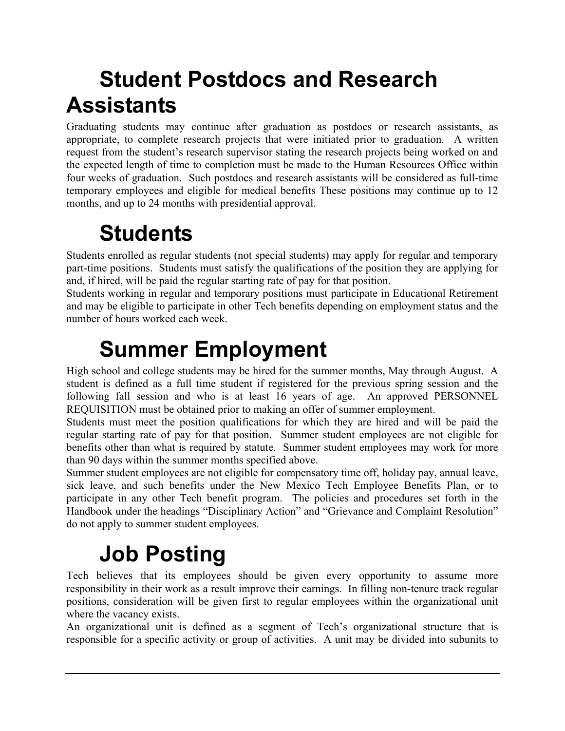## **Student Postdocs and Research Assistants**

Graduating students may continue after graduation as postdocs or research assistants, as appropriate, to complete research projects that were initiated prior to graduation. A written request from the student's research supervisor stating the research projects being worked on and the expected length of time to completion must be made to the Human Resources Office within four weeks of graduation. Such postdocs and research assistants will be considered as full-time temporary employees and eligible for medical benefits These positions may continue up to 12 months, and up to 24 months with presidential approval.

## **Students**

Students enrolled as regular students (not special students) may apply for regular and temporary part-time positions. Students must satisfy the qualifications of the position they are applying for and, if hired, will be paid the regular starting rate of pay for that position.

Students working in regular and temporary positions must participate in Educational Retirement and may be eligible to participate in other Tech benefits depending on employment status and the number of hours worked each week.

## **Summer Employment**

High school and college students may be hired for the summer months, May through August. A student is defined as a full time student if registered for the previous spring session and the following fall session and who is at least 16 years of age. An approved PERSONNEL REQUISITION must be obtained prior to making an offer of summer employment.

Students must meet the position qualifications for which they are hired and will be paid the regular starting rate of pay for that position. Summer student employees are not eligible for benefits other than what is required by statute. Summer student employees may work for more than 90 days within the summer months specified above.

Summer student employees are not eligible for compensatory time off, holiday pay, annual leave, sick leave, and such benefits under the New Mexico Tech Employee Benefits Plan, or to participate in any other Tech benefit program. The policies and procedures set forth in the Handbook under the headings "Disciplinary Action" and "Grievance and Complaint Resolution" do not apply to summer student employees.

## **Job Posting**

Tech believes that its employees should be given every opportunity to assume more responsibility in their work as a result improve their earnings. In filling non-tenure track regular positions, consideration will be given first to regular employees within the organizational unit where the vacancy exists.

An organizational unit is defined as a segment of Tech's organizational structure that is responsible for a specific activity or group of activities. A unit may be divided into subunits to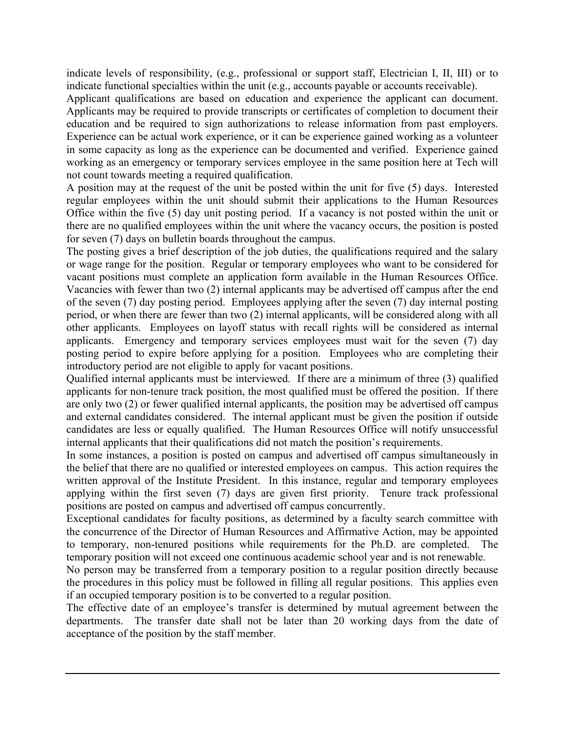indicate levels of responsibility, (e.g., professional or support staff, Electrician I, II, III) or to indicate functional specialties within the unit (e.g., accounts payable or accounts receivable).

Applicant qualifications are based on education and experience the applicant can document. Applicants may be required to provide transcripts or certificates of completion to document their education and be required to sign authorizations to release information from past employers. Experience can be actual work experience, or it can be experience gained working as a volunteer in some capacity as long as the experience can be documented and verified. Experience gained working as an emergency or temporary services employee in the same position here at Tech will not count towards meeting a required qualification.

A position may at the request of the unit be posted within the unit for five (5) days. Interested regular employees within the unit should submit their applications to the Human Resources Office within the five (5) day unit posting period. If a vacancy is not posted within the unit or there are no qualified employees within the unit where the vacancy occurs, the position is posted for seven (7) days on bulletin boards throughout the campus.

The posting gives a brief description of the job duties, the qualifications required and the salary or wage range for the position. Regular or temporary employees who want to be considered for vacant positions must complete an application form available in the Human Resources Office. Vacancies with fewer than two (2) internal applicants may be advertised off campus after the end of the seven (7) day posting period. Employees applying after the seven (7) day internal posting period, or when there are fewer than two (2) internal applicants, will be considered along with all other applicants. Employees on layoff status with recall rights will be considered as internal applicants. Emergency and temporary services employees must wait for the seven (7) day posting period to expire before applying for a position. Employees who are completing their introductory period are not eligible to apply for vacant positions.

Qualified internal applicants must be interviewed. If there are a minimum of three (3) qualified applicants for non-tenure track position, the most qualified must be offered the position. If there are only two (2) or fewer qualified internal applicants, the position may be advertised off campus and external candidates considered. The internal applicant must be given the position if outside candidates are less or equally qualified. The Human Resources Office will notify unsuccessful internal applicants that their qualifications did not match the position's requirements.

In some instances, a position is posted on campus and advertised off campus simultaneously in the belief that there are no qualified or interested employees on campus. This action requires the written approval of the Institute President. In this instance, regular and temporary employees applying within the first seven (7) days are given first priority. Tenure track professional positions are posted on campus and advertised off campus concurrently.

Exceptional candidates for faculty positions, as determined by a faculty search committee with the concurrence of the Director of Human Resources and Affirmative Action, may be appointed to temporary, non-tenured positions while requirements for the Ph.D. are completed. The temporary position will not exceed one continuous academic school year and is not renewable.

No person may be transferred from a temporary position to a regular position directly because the procedures in this policy must be followed in filling all regular positions. This applies even if an occupied temporary position is to be converted to a regular position.

The effective date of an employee's transfer is determined by mutual agreement between the departments. The transfer date shall not be later than 20 working days from the date of acceptance of the position by the staff member.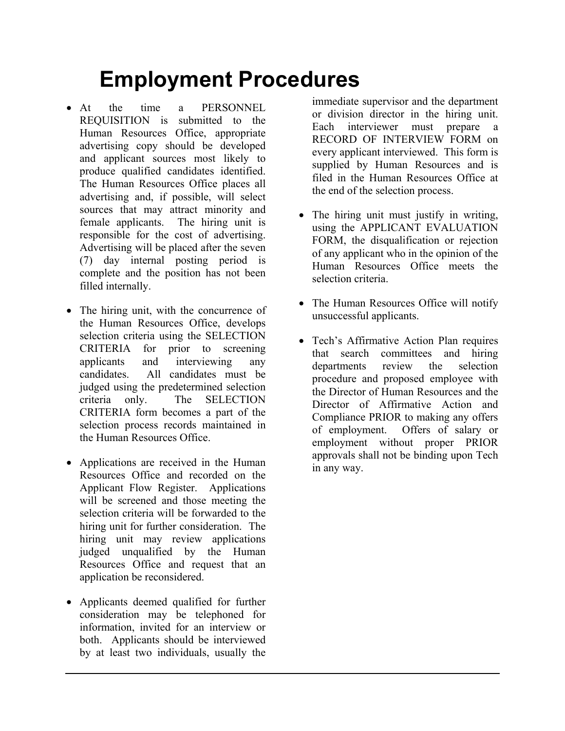## **Employment Procedures**

- At the time a PERSONNEL REQUISITION is submitted to the Human Resources Office, appropriate advertising copy should be developed and applicant sources most likely to produce qualified candidates identified. The Human Resources Office places all advertising and, if possible, will select sources that may attract minority and female applicants. The hiring unit is responsible for the cost of advertising. Advertising will be placed after the seven (7) day internal posting period is complete and the position has not been filled internally.
- The hiring unit, with the concurrence of the Human Resources Office, develops selection criteria using the SELECTION CRITERIA for prior to screening applicants and interviewing any candidates. All candidates must be judged using the predetermined selection criteria only. The SELECTION CRITERIA form becomes a part of the selection process records maintained in the Human Resources Office.
- Applications are received in the Human Resources Office and recorded on the Applicant Flow Register. Applications will be screened and those meeting the selection criteria will be forwarded to the hiring unit for further consideration. The hiring unit may review applications judged unqualified by the Human Resources Office and request that an application be reconsidered.
- Applicants deemed qualified for further consideration may be telephoned for information, invited for an interview or both. Applicants should be interviewed by at least two individuals, usually the

immediate supervisor and the department or division director in the hiring unit. Each interviewer must prepare a RECORD OF INTERVIEW FORM on every applicant interviewed. This form is supplied by Human Resources and is filed in the Human Resources Office at the end of the selection process.

- The hiring unit must justify in writing, using the APPLICANT EVALUATION FORM, the disqualification or rejection of any applicant who in the opinion of the Human Resources Office meets the selection criteria.
- The Human Resources Office will notify unsuccessful applicants.
- Tech's Affirmative Action Plan requires that search committees and hiring departments review the selection procedure and proposed employee with the Director of Human Resources and the Director of Affirmative Action and Compliance PRIOR to making any offers of employment. Offers of salary or employment without proper PRIOR approvals shall not be binding upon Tech in any way.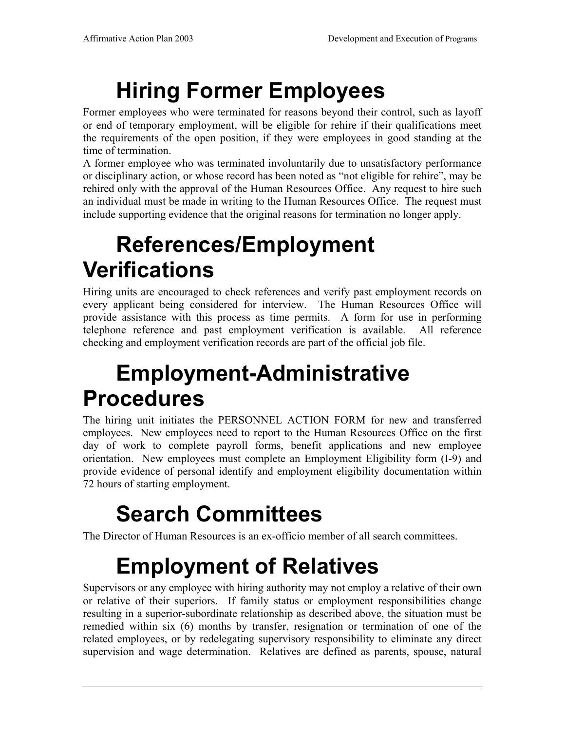# **Hiring Former Employees**

Former employees who were terminated for reasons beyond their control, such as layoff or end of temporary employment, will be eligible for rehire if their qualifications meet the requirements of the open position, if they were employees in good standing at the time of termination.

A former employee who was terminated involuntarily due to unsatisfactory performance or disciplinary action, or whose record has been noted as "not eligible for rehire", may be rehired only with the approval of the Human Resources Office. Any request to hire such an individual must be made in writing to the Human Resources Office. The request must include supporting evidence that the original reasons for termination no longer apply.

## **References/Employment Verifications**

Hiring units are encouraged to check references and verify past employment records on every applicant being considered for interview. The Human Resources Office will provide assistance with this process as time permits. A form for use in performing telephone reference and past employment verification is available. All reference checking and employment verification records are part of the official job file.

## **Employment-Administrative Procedures**

The hiring unit initiates the PERSONNEL ACTION FORM for new and transferred employees. New employees need to report to the Human Resources Office on the first day of work to complete payroll forms, benefit applications and new employee orientation. New employees must complete an Employment Eligibility form (I-9) and provide evidence of personal identify and employment eligibility documentation within 72 hours of starting employment.

## **Search Committees**

The Director of Human Resources is an ex-officio member of all search committees.

## **Employment of Relatives**

Supervisors or any employee with hiring authority may not employ a relative of their own or relative of their superiors. If family status or employment responsibilities change resulting in a superior-subordinate relationship as described above, the situation must be remedied within six (6) months by transfer, resignation or termination of one of the related employees, or by redelegating supervisory responsibility to eliminate any direct supervision and wage determination. Relatives are defined as parents, spouse, natural